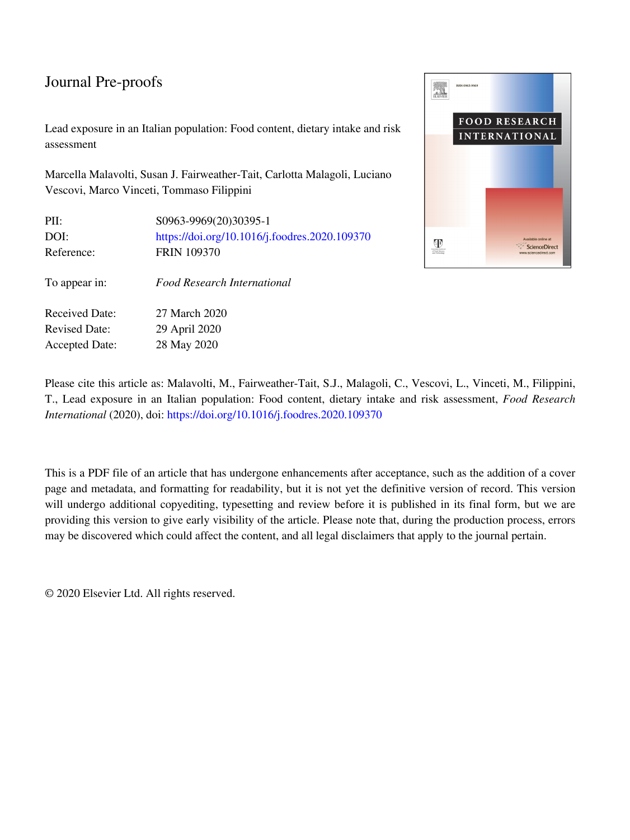Lead exposure in an Italian population: Food content, dietary intake and risk assessment

Marcella Malavolti, Susan J. Fairweather-Tait, Carlotta Malagoli, Luciano Vescovi, Marco Vinceti, Tommaso Filippini

| PII:                  | S0963-9969(20)30395-1                         |
|-----------------------|-----------------------------------------------|
| DOI:                  | https://doi.org/10.1016/j.foodres.2020.109370 |
| Reference:            | <b>FRIN 109370</b>                            |
|                       |                                               |
| To appear in:         | Food Research International                   |
|                       |                                               |
| <b>Received Date:</b> | 27 March 2020                                 |
| <b>Revised Date:</b>  | 29 April 2020                                 |
| <b>Accepted Date:</b> | 28 May 2020                                   |



Please cite this article as: Malavolti, M., Fairweather-Tait, S.J., Malagoli, C., Vescovi, L., Vinceti, M., Filippini, T., Lead exposure in an Italian population: Food content, dietary intake and risk assessment, *Food Research International* (2020), doi:<https://doi.org/10.1016/j.foodres.2020.109370>

This is a PDF file of an article that has undergone enhancements after acceptance, such as the addition of a cover page and metadata, and formatting for readability, but it is not yet the definitive version of record. This version will undergo additional copyediting, typesetting and review before it is published in its final form, but we are providing this version to give early visibility of the article. Please note that, during the production process, errors may be discovered which could affect the content, and all legal disclaimers that apply to the journal pertain.

© 2020 Elsevier Ltd. All rights reserved.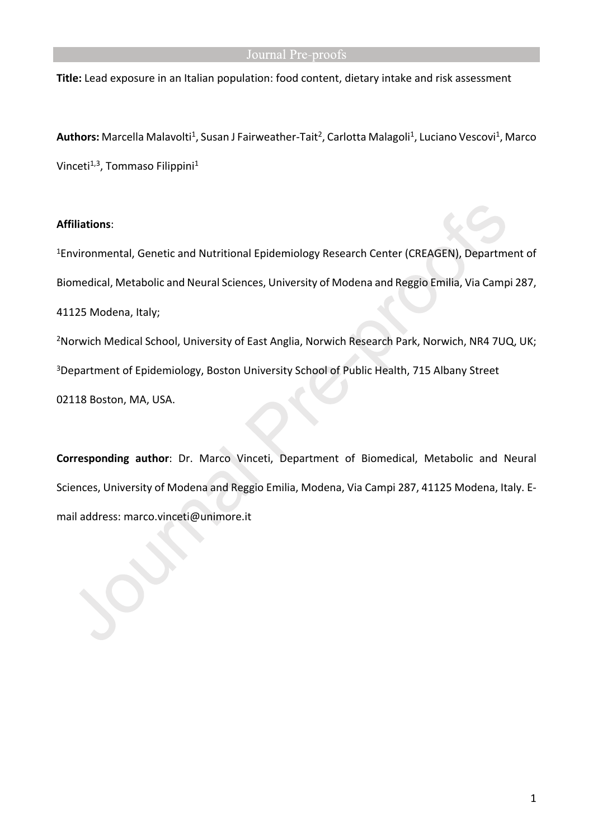**Title:** Lead exposure in an Italian population: food content, dietary intake and risk assessment

Authors: Marcella Malavolti<sup>1</sup>, Susan J Fairweather-Tait<sup>2</sup>, Carlotta Malagoli<sup>1</sup>, Luciano Vescovi<sup>1</sup>, Marco Vinceti<sup>1,3</sup>, Tommaso Filippini<sup>1</sup>

### **Affiliations**:

<sup>1</sup>Environmental, Genetic and Nutritional Epidemiology Research Center (CREAGEN), Department of Biomedical, Metabolic and Neural Sciences, University of Modena and Reggio Emilia, Via Campi 287, 41125 Modena, Italy; <sup>2</sup>Norwich Medical School, University of East Anglia, Norwich Research Park, Norwich, NR4 7UQ, UK;

<sup>3</sup>Department of Epidemiology, Boston University School of Public Health, 715 Albany Street

02118 Boston, MA, USA.

**Corresponding author**: Dr. Marco Vinceti, Department of Biomedical, Metabolic and Neural Sciences, University of Modena and Reggio Emilia, Modena, Via Campi 287, 41125 Modena, Italy. Email address: marco.vinceti@unimore.it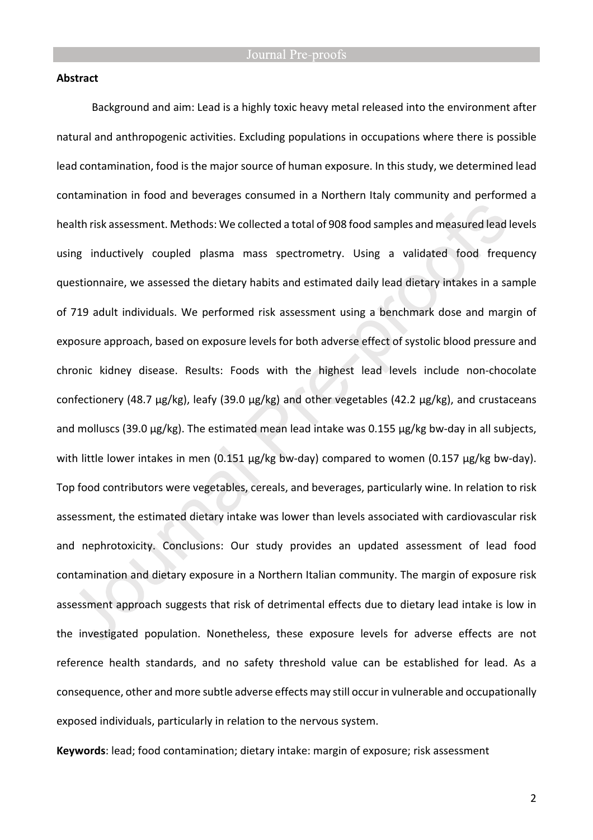#### **Abstract**

Background and aim: Lead is a highly toxic heavy metal released into the environment after natural and anthropogenic activities. Excluding populations in occupations where there is possible lead contamination, food is the major source of human exposure. In this study, we determined lead contamination in food and beverages consumed in a Northern Italy community and performed a health risk assessment. Methods: We collected a total of 908 food samples and measured lead levels using inductively coupled plasma mass spectrometry. Using a validated food frequency questionnaire, we assessed the dietary habits and estimated daily lead dietary intakes in a sample of 719 adult individuals. We performed risk assessment using a benchmark dose and margin of exposure approach, based on exposure levels for both adverse effect of systolic blood pressure and chronic kidney disease. Results: Foods with the highest lead levels include non-chocolate confectionery (48.7 µg/kg), leafy (39.0 µg/kg) and other vegetables (42.2 µg/kg), and crustaceans and molluscs (39.0 µg/kg). The estimated mean lead intake was 0.155 µg/kg bw-day in all subjects, with little lower intakes in men (0.151 µg/kg bw-day) compared to women (0.157 µg/kg bw-day). Top food contributors were vegetables, cereals, and beverages, particularly wine. In relation to risk assessment, the estimated dietary intake was lower than levels associated with cardiovascular risk and nephrotoxicity. Conclusions: Our study provides an updated assessment of lead food contamination and dietary exposure in a Northern Italian community. The margin of exposure risk assessment approach suggests that risk of detrimental effects due to dietary lead intake is low in the investigated population. Nonetheless, these exposure levels for adverse effects are not reference health standards, and no safety threshold value can be established for lead. As a consequence, other and more subtle adverse effects may still occur in vulnerable and occupationally exposed individuals, particularly in relation to the nervous system.

**Keywords**: lead; food contamination; dietary intake: margin of exposure; risk assessment

2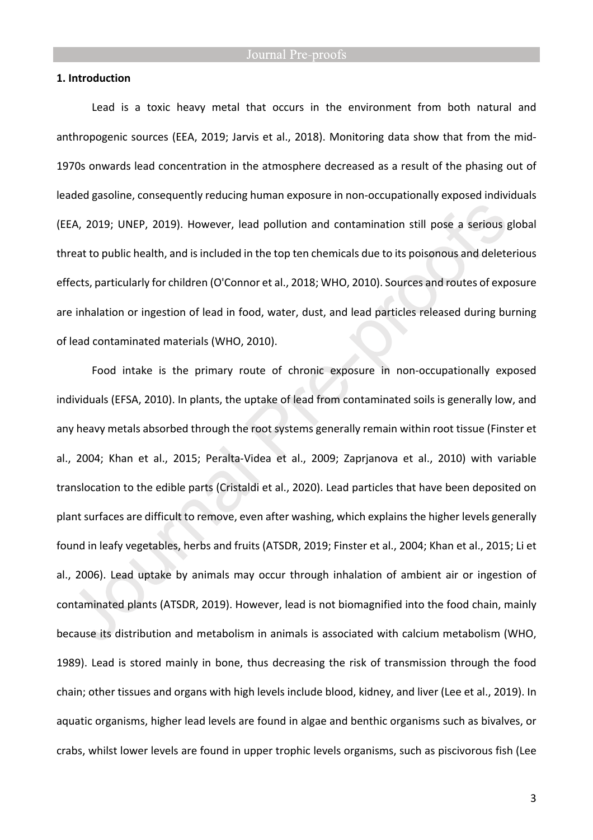#### **1. Introduction**

Lead is a toxic heavy metal that occurs in the environment from both natural and anthropogenic sources (EEA, 2019; Jarvis et al., 2018). Monitoring data show that from the mid-1970s onwards lead concentration in the atmosphere decreased as a result of the phasing out of leaded gasoline, consequently reducing human exposure in non-occupationally exposed individuals (EEA, 2019; UNEP, 2019). However, lead pollution and contamination still pose a serious global threat to public health, and is included in the top ten chemicals due to its poisonous and deleterious effects, particularly for children (O'Connor et al., 2018; WHO, 2010). Sources and routes of exposure are inhalation or ingestion of lead in food, water, dust, and lead particles released during burning of lead contaminated materials (WHO, 2010).

Food intake is the primary route of chronic exposure in non-occupationally exposed individuals (EFSA, 2010). In plants, the uptake of lead from contaminated soils is generally low, and any heavy metals absorbed through the root systems generally remain within root tissue (Finster et al., 2004; Khan et al., 2015; Peralta-Videa et al., 2009; Zaprjanova et al., 2010) with variable translocation to the edible parts (Cristaldi et al., 2020). Lead particles that have been deposited on plant surfaces are difficult to remove, even after washing, which explains the higher levels generally found in leafy vegetables, herbs and fruits (ATSDR, 2019; Finster et al., 2004; Khan et al., 2015; Li et al., 2006). Lead uptake by animals may occur through inhalation of ambient air or ingestion of contaminated plants (ATSDR, 2019). However, lead is not biomagnified into the food chain, mainly because its distribution and metabolism in animals is associated with calcium metabolism (WHO, 1989). Lead is stored mainly in bone, thus decreasing the risk of transmission through the food chain; other tissues and organs with high levels include blood, kidney, and liver (Lee et al., 2019). In aquatic organisms, higher lead levels are found in algae and benthic organisms such as bivalves, or crabs, whilst lower levels are found in upper trophic levels organisms, such as piscivorous fish (Lee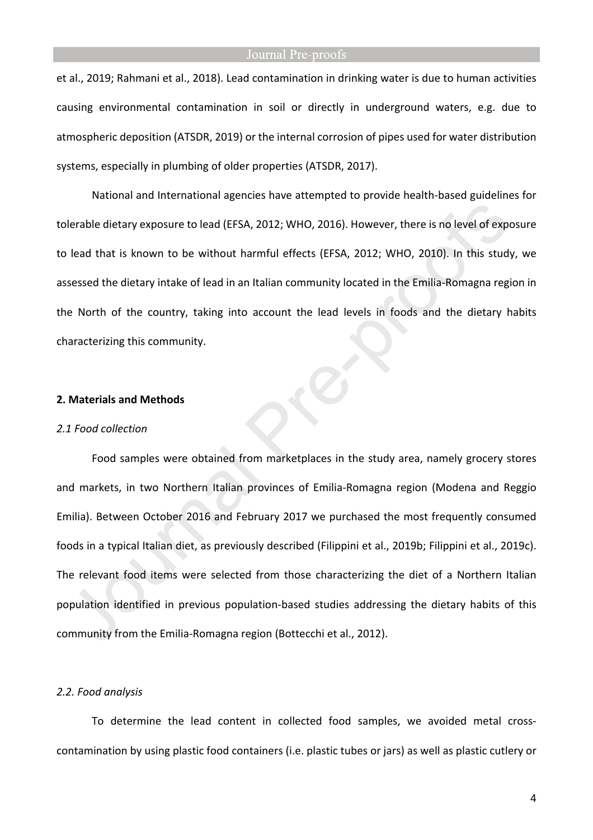et al., 2019; Rahmani et al., 2018). Lead contamination in drinking water is due to human activities causing environmental contamination in soil or directly in underground waters, e.g. due to atmospheric deposition (ATSDR, 2019) or the internal corrosion of pipes used for water distribution systems, especially in plumbing of older properties (ATSDR, 2017).

National and International agencies have attempted to provide health-based guidelines for tolerable dietary exposure to lead (EFSA, 2012; WHO, 2016). However, there is no level of exposure to lead that is known to be without harmful effects (EFSA, 2012; WHO, 2010). In this study, we assessed the dietary intake of lead in an Italian community located in the Emilia-Romagna region in the North of the country, taking into account the lead levels in foods and the dietary habits characterizing this community.

#### **2. Materials and Methods**

#### *2.1 Food collection*

Food samples were obtained from marketplaces in the study area, namely grocery stores and markets, in two Northern Italian provinces of Emilia-Romagna region (Modena and Reggio Emilia). Between October 2016 and February 2017 we purchased the most frequently consumed foods in a typical Italian diet, as previously described (Filippini et al., 2019b; Filippini et al., 2019c). The relevant food items were selected from those characterizing the diet of a Northern Italian population identified in previous population-based studies addressing the dietary habits of this community from the Emilia-Romagna region (Bottecchi et al., 2012).

#### *2.2. Food analysis*

To determine the lead content in collected food samples, we avoided metal crosscontamination by using plastic food containers (i.e. plastic tubes or jars) as well as plastic cutlery or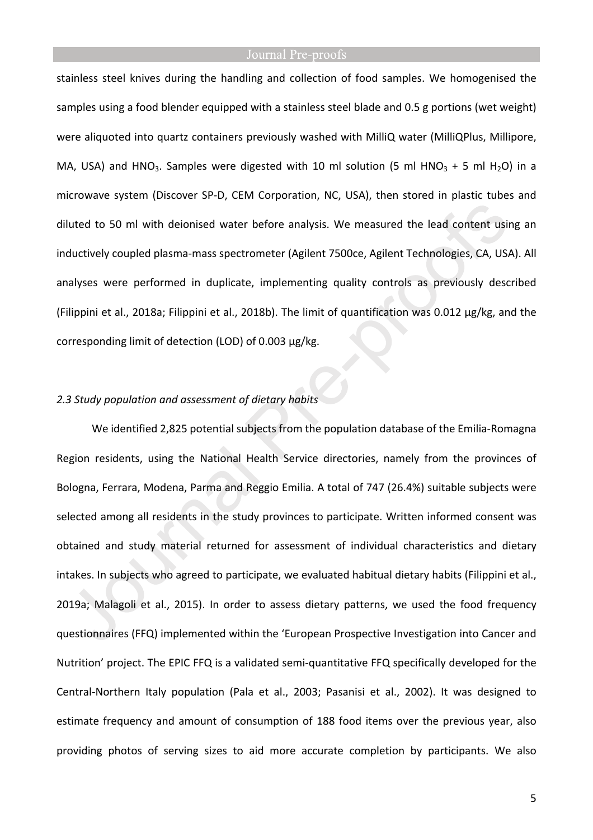stainless steel knives during the handling and collection of food samples. We homogenised the samples using a food blender equipped with a stainless steel blade and 0.5 g portions (wet weight) were aliquoted into quartz containers previously washed with MilliQ water (MilliQPlus, Millipore, MA, USA) and HNO<sub>3</sub>. Samples were digested with 10 ml solution (5 ml HNO<sub>3</sub> + 5 ml H<sub>2</sub>O) in a microwave system (Discover SP-D, CEM Corporation, NC, USA), then stored in plastic tubes and diluted to 50 ml with deionised water before analysis. We measured the lead content using an inductively coupled plasma-mass spectrometer (Agilent 7500ce, Agilent Technologies, CA, USA). All analyses were performed in duplicate, implementing quality controls as previously described (Filippini et al., 2018a; Filippini et al., 2018b). The limit of quantification was 0.012 µg/kg, and the corresponding limit of detection (LOD) of 0.003 µg/kg.

## *2.3 Study population and assessment of dietary habits*

We identified 2,825 potential subjects from the population database of the Emilia-Romagna Region residents, using the National Health Service directories, namely from the provinces of Bologna, Ferrara, Modena, Parma and Reggio Emilia. A total of 747 (26.4%) suitable subjects were selected among all residents in the study provinces to participate. Written informed consent was obtained and study material returned for assessment of individual characteristics and dietary intakes. In subjects who agreed to participate, we evaluated habitual dietary habits (Filippini et al., 2019a; Malagoli et al., 2015). In order to assess dietary patterns, we used the food frequency questionnaires (FFQ) implemented within the 'European Prospective Investigation into Cancer and Nutrition' project. The EPIC FFQ is a validated semi-quantitative FFQ specifically developed for the Central-Northern Italy population (Pala et al., 2003; Pasanisi et al., 2002). It was designed to estimate frequency and amount of consumption of 188 food items over the previous year, also providing photos of serving sizes to aid more accurate completion by participants. We also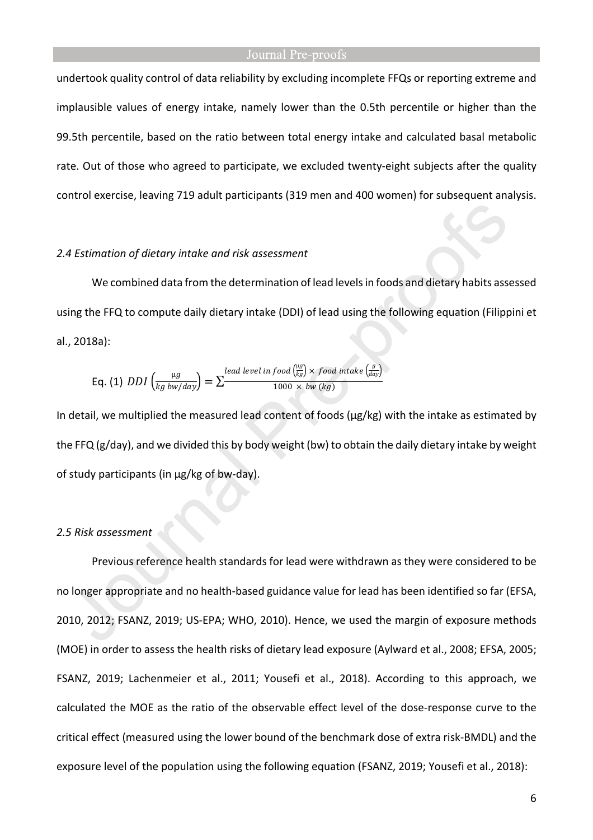undertook quality control of data reliability by excluding incomplete FFQs or reporting extreme and implausible values of energy intake, namely lower than the 0.5th percentile or higher than the 99.5th percentile, based on the ratio between total energy intake and calculated basal metabolic rate. Out of those who agreed to participate, we excluded twenty-eight subjects after the quality control exercise, leaving 719 adult participants (319 men and 400 women) for subsequent analysis.

#### *2.4 Estimation of dietary intake and risk assessment*

We combined data from the determination of lead levels in foods and dietary habits assessed using the FFQ to compute daily dietary intake (DDI) of lead using the following equation (Filippini et al., 2018a):

$$
\text{Eq. (1) } DDI\left(\frac{\mu g}{kg \text{ bw}/day}\right) = \sum_{\text{real level in } 1000 \times \text{ bw}/kg\text{)}} \frac{\left(\frac{\mu g}{kg}\right) \times \text{ food intake}\left(\frac{g}{day}\right)}{1000 \times \text{ bw}/kg\text{)}}
$$

In detail, we multiplied the measured lead content of foods (µg/kg) with the intake as estimated by the FFQ (g/day), and we divided this by body weight (bw) to obtain the daily dietary intake by weight of study participants (in µg/kg of bw-day).

#### *2.5 Risk assessment*

Previous reference health standards for lead were withdrawn as they were considered to be no longer appropriate and no health-based guidance value for lead has been identified so far (EFSA, 2010, 2012; FSANZ, 2019; US-EPA; WHO, 2010). Hence, we used the margin of exposure methods (MOE) in order to assess the health risks of dietary lead exposure (Aylward et al., 2008; EFSA, 2005; FSANZ, 2019; Lachenmeier et al., 2011; Yousefi et al., 2018). According to this approach, we calculated the MOE as the ratio of the observable effect level of the dose-response curve to the critical effect (measured using the lower bound of the benchmark dose of extra risk-BMDL) and the exposure level of the population using the following equation (FSANZ, 2019; Yousefi et al., 2018):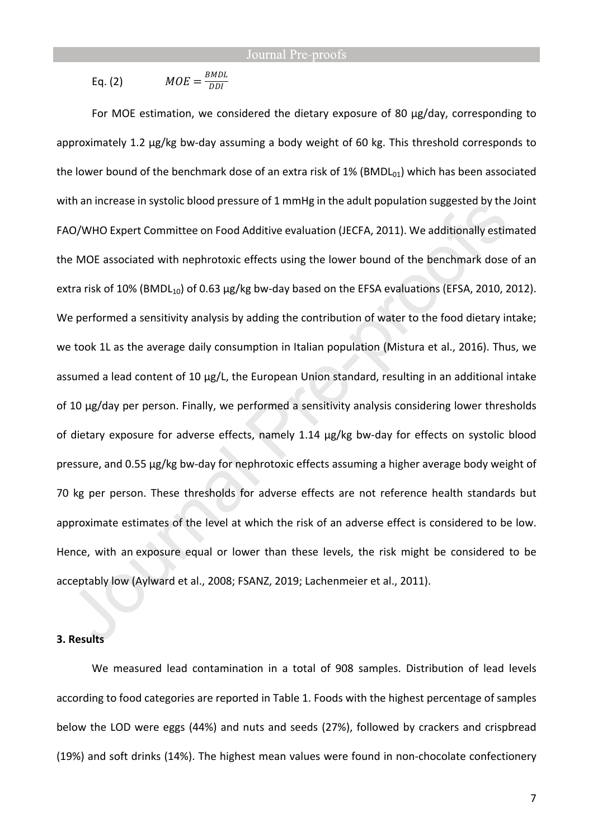Eq. (2) 
$$
MOE = \frac{BMDL}{DDI}
$$

For MOE estimation, we considered the dietary exposure of 80 µg/day, corresponding to approximately 1.2 μg/kg bw-day assuming a body weight of 60 kg. This threshold corresponds to the lower bound of the benchmark dose of an extra risk of 1% (BMDL $_{01}$ ) which has been associated with an increase in systolic blood pressure of 1 mmHg in the adult population suggested by the Joint FAO/WHO Expert Committee on Food Additive evaluation (JECFA, 2011). We additionally estimated the MOE associated with nephrotoxic effects using the lower bound of the benchmark dose of an extra risk of 10% (BMDL<sub>10</sub>) of 0.63  $\mu$ g/kg bw-day based on the EFSA evaluations (EFSA, 2010, 2012). We performed a sensitivity analysis by adding the contribution of water to the food dietary intake; we took 1L as the average daily consumption in Italian population (Mistura et al., 2016). Thus, we assumed a lead content of 10 µg/L, the European Union standard, resulting in an additional intake of 10 µg/day per person. Finally, we performed a sensitivity analysis considering lower thresholds of dietary exposure for adverse effects, namely 1.14 μg/kg bw-day for effects on systolic blood pressure, and 0.55 μg/kg bw-day for nephrotoxic effects assuming a higher average body weight of 70 kg per person. These thresholds for adverse effects are not reference health standards but approximate estimates of the level at which the risk of an adverse effect is considered to be low. Hence, with an exposure equal or lower than these levels, the risk might be considered to be acceptably low (Aylward et al., 2008; FSANZ, 2019; Lachenmeier et al., 2011).

#### **3. Results**

We measured lead contamination in a total of 908 samples. Distribution of lead levels according to food categories are reported in Table 1. Foods with the highest percentage of samples below the LOD were eggs (44%) and nuts and seeds (27%), followed by crackers and crispbread (19%) and soft drinks (14%). The highest mean values were found in non-chocolate confectionery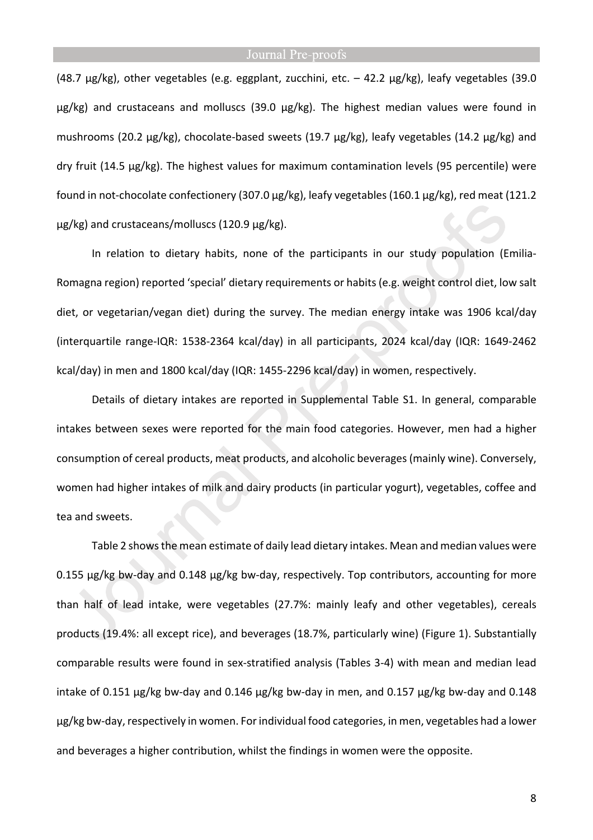(48.7 µg/kg), other vegetables (e.g. eggplant, zucchini, etc. – 42.2 µg/kg), leafy vegetables (39.0 µg/kg) and crustaceans and molluscs (39.0 µg/kg). The highest median values were found in mushrooms (20.2 µg/kg), chocolate-based sweets (19.7 µg/kg), leafy vegetables (14.2 µg/kg) and dry fruit (14.5 µg/kg). The highest values for maximum contamination levels (95 percentile) were found in not-chocolate confectionery (307.0 µg/kg), leafy vegetables (160.1 µg/kg), red meat (121.2 µg/kg) and crustaceans/molluscs (120.9 µg/kg).

In relation to dietary habits, none of the participants in our study population (Emilia-Romagna region) reported 'special' dietary requirements or habits (e.g. weight control diet, low salt diet, or vegetarian/vegan diet) during the survey. The median energy intake was 1906 kcal/day (interquartile range-IQR: 1538-2364 kcal/day) in all participants, 2024 kcal/day (IQR: 1649-2462 kcal/day) in men and 1800 kcal/day (IQR: 1455-2296 kcal/day) in women, respectively.

Details of dietary intakes are reported in Supplemental Table S1. In general, comparable intakes between sexes were reported for the main food categories. However, men had a higher consumption of cereal products, meat products, and alcoholic beverages (mainly wine). Conversely, women had higher intakes of milk and dairy products (in particular yogurt), vegetables, coffee and tea and sweets.

Table 2 shows the mean estimate of daily lead dietary intakes. Mean and median values were 0.155 µg/kg bw-day and 0.148 µg/kg bw-day, respectively. Top contributors, accounting for more than half of lead intake, were vegetables (27.7%: mainly leafy and other vegetables), cereals products (19.4%: all except rice), and beverages (18.7%, particularly wine) (Figure 1). Substantially comparable results were found in sex-stratified analysis (Tables 3-4) with mean and median lead intake of 0.151 µg/kg bw-day and 0.146 µg/kg bw-day in men, and 0.157 µg/kg bw-day and 0.148 µg/kg bw-day, respectively in women. For individual food categories, in men, vegetables had a lower and beverages a higher contribution, whilst the findings in women were the opposite.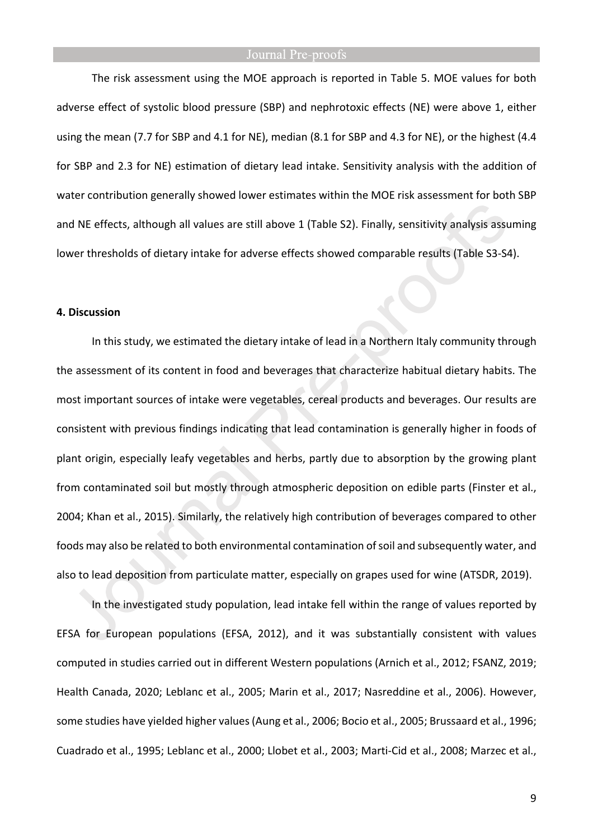The risk assessment using the MOE approach is reported in Table 5. MOE values for both adverse effect of systolic blood pressure (SBP) and nephrotoxic effects (NE) were above 1, either using the mean (7.7 for SBP and 4.1 for NE), median (8.1 for SBP and 4.3 for NE), or the highest (4.4 for SBP and 2.3 for NE) estimation of dietary lead intake. Sensitivity analysis with the addition of water contribution generally showed lower estimates within the MOE risk assessment for both SBP and NE effects, although all values are still above 1 (Table S2). Finally, sensitivity analysis assuming lower thresholds of dietary intake for adverse effects showed comparable results (Table S3-S4).

#### **4. Discussion**

In this study, we estimated the dietary intake of lead in a Northern Italy community through the assessment of its content in food and beverages that characterize habitual dietary habits. The most important sources of intake were vegetables, cereal products and beverages. Our results are consistent with previous findings indicating that lead contamination is generally higher in foods of plant origin, especially leafy vegetables and herbs, partly due to absorption by the growing plant from contaminated soil but mostly through atmospheric deposition on edible parts (Finster et al., 2004; Khan et al., 2015). Similarly, the relatively high contribution of beverages compared to other foods may also be related to both environmental contamination of soil and subsequently water, and also to lead deposition from particulate matter, especially on grapes used for wine (ATSDR, 2019).

In the investigated study population, lead intake fell within the range of values reported by EFSA for European populations (EFSA, 2012), and it was substantially consistent with values computed in studies carried out in different Western populations (Arnich et al., 2012; FSANZ, 2019; Health Canada, 2020; Leblanc et al., 2005; Marin et al., 2017; Nasreddine et al., 2006). However, some studies have yielded higher values (Aung et al., 2006; Bocio et al., 2005; Brussaard et al., 1996; Cuadrado et al., 1995; Leblanc et al., 2000; Llobet et al., 2003; Marti-Cid et al., 2008; Marzec et al.,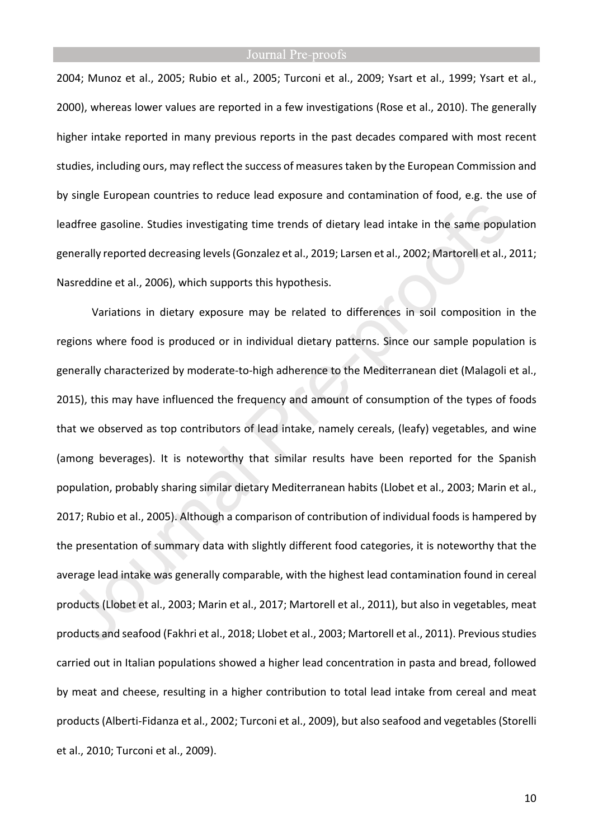2004; Munoz et al., 2005; Rubio et al., 2005; Turconi et al., 2009; Ysart et al., 1999; Ysart et al., 2000), whereas lower values are reported in a few investigations (Rose et al., 2010). The generally higher intake reported in many previous reports in the past decades compared with most recent studies, including ours, may reflect the success of measures taken by the European Commission and by single European countries to reduce lead exposure and contamination of food, e.g. the use of leadfree gasoline. Studies investigating time trends of dietary lead intake in the same population generally reported decreasing levels (Gonzalez et al., 2019; Larsen et al., 2002; Martorell et al., 2011; Nasreddine et al., 2006), which supports this hypothesis.

Variations in dietary exposure may be related to differences in soil composition in the regions where food is produced or in individual dietary patterns. Since our sample population is generally characterized by moderate-to-high adherence to the Mediterranean diet (Malagoli et al., 2015), this may have influenced the frequency and amount of consumption of the types of foods that we observed as top contributors of lead intake, namely cereals, (leafy) vegetables, and wine (among beverages). It is noteworthy that similar results have been reported for the Spanish population, probably sharing similar dietary Mediterranean habits (Llobet et al., 2003; Marin et al., 2017; Rubio et al., 2005). Although a comparison of contribution of individual foods is hampered by the presentation of summary data with slightly different food categories, it is noteworthy that the average lead intake was generally comparable, with the highest lead contamination found in cereal products (Llobet et al., 2003; Marin et al., 2017; Martorell et al., 2011), but also in vegetables, meat products and seafood (Fakhri et al., 2018; Llobet et al., 2003; Martorell et al., 2011). Previous studies carried out in Italian populations showed a higher lead concentration in pasta and bread, followed by meat and cheese, resulting in a higher contribution to total lead intake from cereal and meat products (Alberti-Fidanza et al., 2002; Turconi et al., 2009), but also seafood and vegetables (Storelli et al., 2010; Turconi et al., 2009).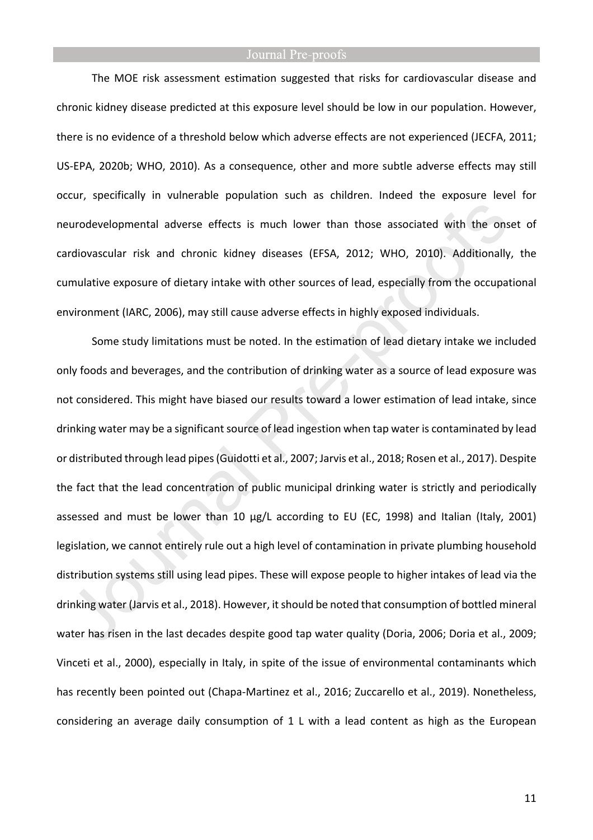The MOE risk assessment estimation suggested that risks for cardiovascular disease and chronic kidney disease predicted at this exposure level should be low in our population. However, there is no evidence of a threshold below which adverse effects are not experienced (JECFA, 2011; US-EPA, 2020b; WHO, 2010). As a consequence, other and more subtle adverse effects may still occur, specifically in vulnerable population such as children. Indeed the exposure level for neurodevelopmental adverse effects is much lower than those associated with the onset of cardiovascular risk and chronic kidney diseases (EFSA, 2012; WHO, 2010). Additionally, the cumulative exposure of dietary intake with other sources of lead, especially from the occupational environment (IARC, 2006), may still cause adverse effects in highly exposed individuals.

Some study limitations must be noted. In the estimation of lead dietary intake we included only foods and beverages, and the contribution of drinking water as a source of lead exposure was not considered. This might have biased our results toward a lower estimation of lead intake, since drinking water may be a significant source of lead ingestion when tap water is contaminated by lead or distributed through lead pipes (Guidotti et al., 2007; Jarvis et al., 2018; Rosen et al., 2017). Despite the fact that the lead concentration of public municipal drinking water is strictly and periodically assessed and must be lower than 10 µg/L according to EU (EC, 1998) and Italian (Italy, 2001) legislation, we cannot entirely rule out a high level of contamination in private plumbing household distribution systems still using lead pipes. These will expose people to higher intakes of lead via the drinking water (Jarvis et al., 2018). However, it should be noted that consumption of bottled mineral water has risen in the last decades despite good tap water quality (Doria, 2006; Doria et al., 2009; Vinceti et al., 2000), especially in Italy, in spite of the issue of environmental contaminants which has recently been pointed out (Chapa-Martinez et al., 2016; Zuccarello et al., 2019). Nonetheless, considering an average daily consumption of 1 L with a lead content as high as the European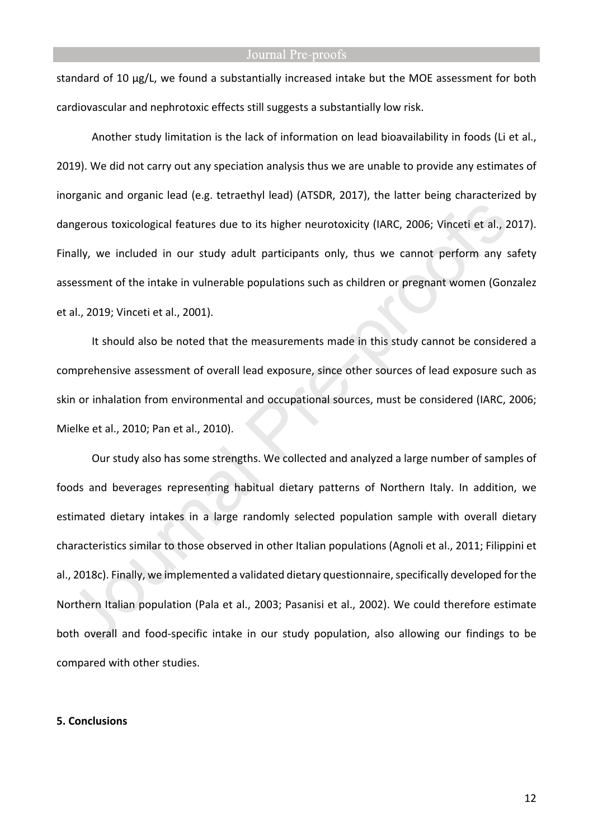standard of 10 µg/L, we found a substantially increased intake but the MOE assessment for both cardiovascular and nephrotoxic effects still suggests a substantially low risk.

Another study limitation is the lack of information on lead bioavailability in foods (Li et al., 2019). We did not carry out any speciation analysis thus we are unable to provide any estimates of inorganic and organic lead (e.g. tetraethyl lead) (ATSDR, 2017), the latter being characterized by dangerous toxicological features due to its higher neurotoxicity (IARC, 2006; Vinceti et al., 2017). Finally, we included in our study adult participants only, thus we cannot perform any safety assessment of the intake in vulnerable populations such as children or pregnant women (Gonzalez et al., 2019; Vinceti et al., 2001).

It should also be noted that the measurements made in this study cannot be considered a comprehensive assessment of overall lead exposure, since other sources of lead exposure such as skin or inhalation from environmental and occupational sources, must be considered (IARC, 2006; Mielke et al., 2010; Pan et al., 2010).

Our study also has some strengths. We collected and analyzed a large number of samples of foods and beverages representing habitual dietary patterns of Northern Italy. In addition, we estimated dietary intakes in a large randomly selected population sample with overall dietary characteristics similar to those observed in other Italian populations (Agnoli et al., 2011; Filippini et al., 2018c). Finally, we implemented a validated dietary questionnaire, specifically developed for the Northern Italian population (Pala et al., 2003; Pasanisi et al., 2002). We could therefore estimate both overall and food-specific intake in our study population, also allowing our findings to be compared with other studies.

#### **5. Conclusions**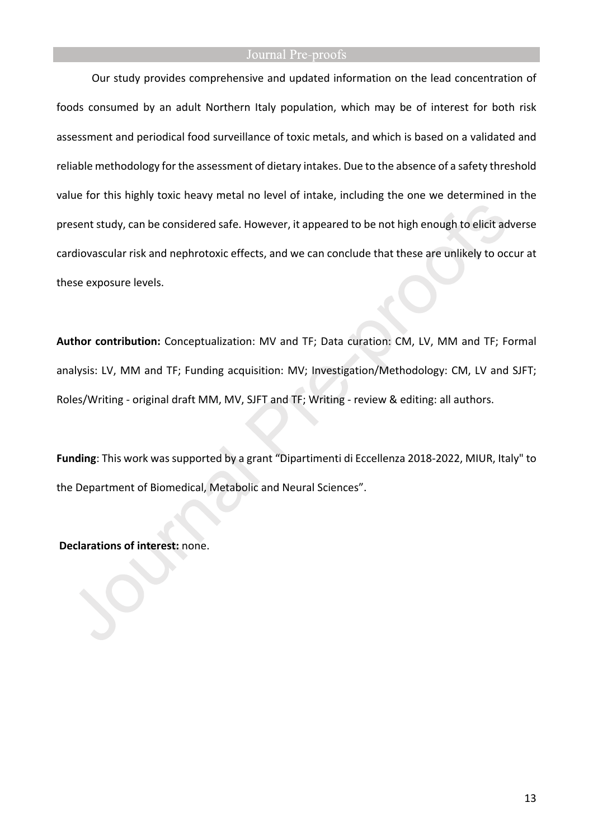Our study provides comprehensive and updated information on the lead concentration of foods consumed by an adult Northern Italy population, which may be of interest for both risk assessment and periodical food surveillance of toxic metals, and which is based on a validated and reliable methodology for the assessment of dietary intakes. Due to the absence of a safety threshold value for this highly toxic heavy metal no level of intake, including the one we determined in the present study, can be considered safe. However, it appeared to be not high enough to elicit adverse cardiovascular risk and nephrotoxic effects, and we can conclude that these are unlikely to occur at these exposure levels.

**Author contribution:** Conceptualization: MV and TF; Data curation: CM, LV, MM and TF; Formal analysis: LV, MM and TF; Funding acquisition: MV; Investigation/Methodology: CM, LV and SJFT; Roles/Writing - original draft MM, MV, SJFT and TF; Writing - review & editing: all authors.

**Funding**: This work was supported by a grant "Dipartimenti di Eccellenza 2018-2022, MIUR, Italy" to the Department of Biomedical, Metabolic and Neural Sciences".

 **Declarations of interest:** none.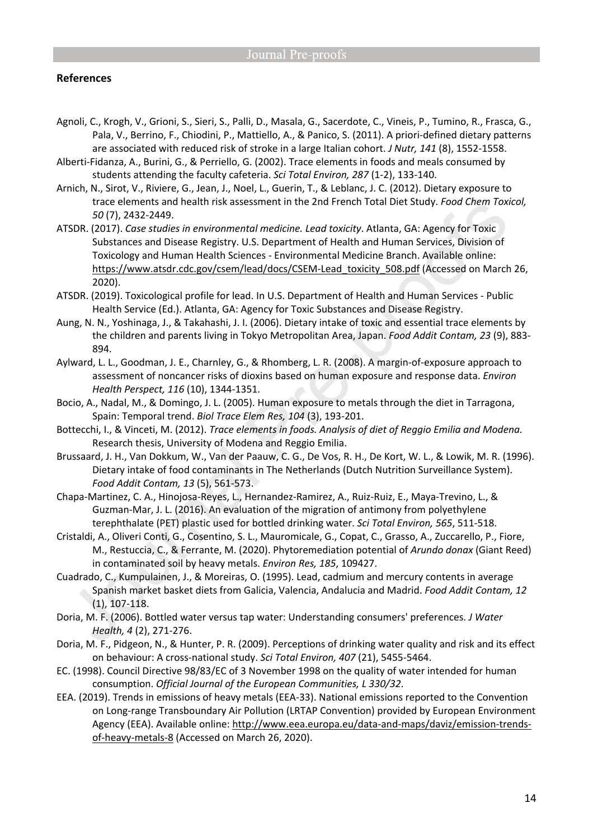#### **References**

- Agnoli, C., Krogh, V., Grioni, S., Sieri, S., Palli, D., Masala, G., Sacerdote, C., Vineis, P., Tumino, R., Frasca, G., Pala, V., Berrino, F., Chiodini, P., Mattiello, A., & Panico, S. (2011). A priori-defined dietary patterns are associated with reduced risk of stroke in a large Italian cohort. *J Nutr, 141* (8), 1552-1558.
- Alberti-Fidanza, A., Burini, G., & Perriello, G. (2002). Trace elements in foods and meals consumed by students attending the faculty cafeteria. *Sci Total Environ, 287* (1-2), 133-140.
- Arnich, N., Sirot, V., Riviere, G., Jean, J., Noel, L., Guerin, T., & Leblanc, J. C. (2012). Dietary exposure to trace elements and health risk assessment in the 2nd French Total Diet Study. *Food Chem Toxicol, 50* (7), 2432-2449.
- ATSDR. (2017). *Case studies in environmental medicine. Lead toxicity*. Atlanta, GA: Agency for Toxic Substances and Disease Registry. U.S. Department of Health and Human Services, Division of Toxicology and Human Health Sciences - Environmental Medicine Branch. Available online: https://www.atsdr.cdc.gov/csem/lead/docs/CSEM-Lead\_toxicity\_508.pdf (Accessed on March 26, 2020).
- ATSDR. (2019). Toxicological profile for lead. In U.S. Department of Health and Human Services Public Health Service (Ed.). Atlanta, GA: Agency for Toxic Substances and Disease Registry.
- Aung, N. N., Yoshinaga, J., & Takahashi, J. I. (2006). Dietary intake of toxic and essential trace elements by the children and parents living in Tokyo Metropolitan Area, Japan. *Food Addit Contam, 23* (9), 883- 894.
- Aylward, L. L., Goodman, J. E., Charnley, G., & Rhomberg, L. R. (2008). A margin-of-exposure approach to assessment of noncancer risks of dioxins based on human exposure and response data. *Environ Health Perspect, 116* (10), 1344-1351.
- Bocio, A., Nadal, M., & Domingo, J. L. (2005). Human exposure to metals through the diet in Tarragona, Spain: Temporal trend. *Biol Trace Elem Res, 104* (3), 193-201.
- Bottecchi, I., & Vinceti, M. (2012). *Trace elements in foods. Analysis of diet of Reggio Emilia and Modena.* Research thesis, University of Modena and Reggio Emilia.
- Brussaard, J. H., Van Dokkum, W., Van der Paauw, C. G., De Vos, R. H., De Kort, W. L., & Lowik, M. R. (1996). Dietary intake of food contaminants in The Netherlands (Dutch Nutrition Surveillance System). *Food Addit Contam, 13* (5), 561-573.
- Chapa-Martinez, C. A., Hinojosa-Reyes, L., Hernandez-Ramirez, A., Ruiz-Ruiz, E., Maya-Trevino, L., & Guzman-Mar, J. L. (2016). An evaluation of the migration of antimony from polyethylene terephthalate (PET) plastic used for bottled drinking water. *Sci Total Environ, 565*, 511-518.
- Cristaldi, A., Oliveri Conti, G., Cosentino, S. L., Mauromicale, G., Copat, C., Grasso, A., Zuccarello, P., Fiore, M., Restuccia, C., & Ferrante, M. (2020). Phytoremediation potential of *Arundo donax* (Giant Reed) in contaminated soil by heavy metals. *Environ Res, 185*, 109427.
- Cuadrado, C., Kumpulainen, J., & Moreiras, O. (1995). Lead, cadmium and mercury contents in average Spanish market basket diets from Galicia, Valencia, Andalucia and Madrid. *Food Addit Contam, 12* (1), 107-118.
- Doria, M. F. (2006). Bottled water versus tap water: Understanding consumers' preferences. *J Water Health, 4* (2), 271-276.
- Doria, M. F., Pidgeon, N., & Hunter, P. R. (2009). Perceptions of drinking water quality and risk and its effect on behaviour: A cross-national study. *Sci Total Environ, 407* (21), 5455-5464.
- EC. (1998). Council Directive 98/83/EC of 3 November 1998 on the quality of water intended for human consumption. *Official Journal of the European Communities, L 330/32*.
- EEA. (2019). Trends in emissions of heavy metals (EEA-33). National emissions reported to the Convention on Long-range Transboundary Air Pollution (LRTAP Convention) provided by European Environment Agency (EEA). Available online: http://www.eea.europa.eu/data-and-maps/daviz/emission-trendsof-heavy-metals-8 (Accessed on March 26, 2020).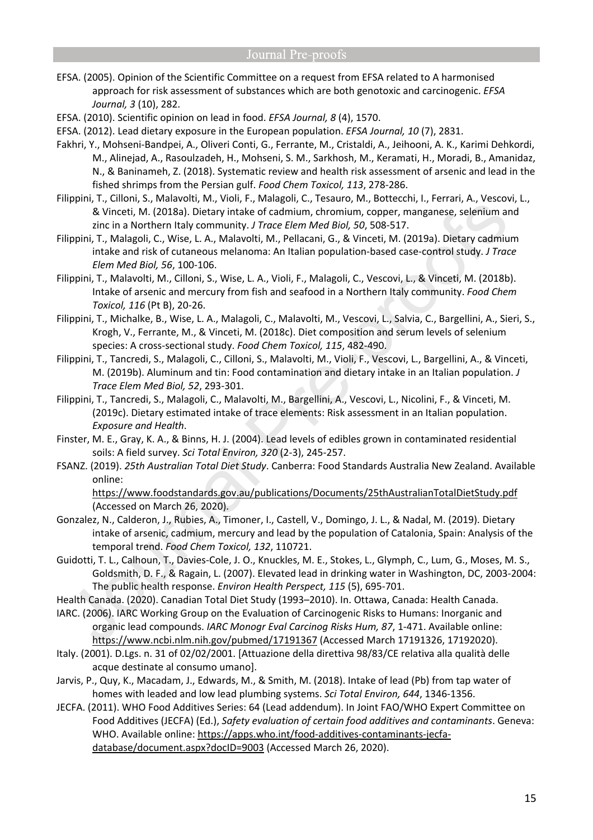- EFSA. (2005). Opinion of the Scientific Committee on a request from EFSA related to A harmonised approach for risk assessment of substances which are both genotoxic and carcinogenic. *EFSA Journal, 3* (10), 282.
- EFSA. (2010). Scientific opinion on lead in food. *EFSA Journal, 8* (4), 1570.
- EFSA. (2012). Lead dietary exposure in the European population. *EFSA Journal, 10* (7), 2831.
- Fakhri, Y., Mohseni-Bandpei, A., Oliveri Conti, G., Ferrante, M., Cristaldi, A., Jeihooni, A. K., Karimi Dehkordi, M., Alinejad, A., Rasoulzadeh, H., Mohseni, S. M., Sarkhosh, M., Keramati, H., Moradi, B., Amanidaz, N., & Baninameh, Z. (2018). Systematic review and health risk assessment of arsenic and lead in the fished shrimps from the Persian gulf. *Food Chem Toxicol, 113*, 278-286.
- Filippini, T., Cilloni, S., Malavolti, M., Violi, F., Malagoli, C., Tesauro, M., Bottecchi, I., Ferrari, A., Vescovi, L., & Vinceti, M. (2018a). Dietary intake of cadmium, chromium, copper, manganese, selenium and zinc in a Northern Italy community. *J Trace Elem Med Biol, 50*, 508-517.
- Filippini, T., Malagoli, C., Wise, L. A., Malavolti, M., Pellacani, G., & Vinceti, M. (2019a). Dietary cadmium intake and risk of cutaneous melanoma: An Italian population-based case-control study. *J Trace Elem Med Biol, 56*, 100-106.
- Filippini, T., Malavolti, M., Cilloni, S., Wise, L. A., Violi, F., Malagoli, C., Vescovi, L., & Vinceti, M. (2018b). Intake of arsenic and mercury from fish and seafood in a Northern Italy community. *Food Chem Toxicol, 116* (Pt B), 20-26.
- Filippini, T., Michalke, B., Wise, L. A., Malagoli, C., Malavolti, M., Vescovi, L., Salvia, C., Bargellini, A., Sieri, S., Krogh, V., Ferrante, M., & Vinceti, M. (2018c). Diet composition and serum levels of selenium species: A cross-sectional study. *Food Chem Toxicol, 115*, 482-490.
- Filippini, T., Tancredi, S., Malagoli, C., Cilloni, S., Malavolti, M., Violi, F., Vescovi, L., Bargellini, A., & Vinceti, M. (2019b). Aluminum and tin: Food contamination and dietary intake in an Italian population. *J Trace Elem Med Biol, 52*, 293-301.
- Filippini, T., Tancredi, S., Malagoli, C., Malavolti, M., Bargellini, A., Vescovi, L., Nicolini, F., & Vinceti, M. (2019c). Dietary estimated intake of trace elements: Risk assessment in an Italian population. *Exposure and Health*.
- Finster, M. E., Gray, K. A., & Binns, H. J. (2004). Lead levels of edibles grown in contaminated residential soils: A field survey. *Sci Total Environ, 320* (2-3), 245-257.
- FSANZ. (2019). *25th Australian Total Diet Study*. Canberra: Food Standards Australia New Zealand. Available online:

https://www.foodstandards.gov.au/publications/Documents/25thAustralianTotalDietStudy.pdf (Accessed on March 26, 2020).

- Gonzalez, N., Calderon, J., Rubies, A., Timoner, I., Castell, V., Domingo, J. L., & Nadal, M. (2019). Dietary intake of arsenic, cadmium, mercury and lead by the population of Catalonia, Spain: Analysis of the temporal trend. *Food Chem Toxicol, 132*, 110721.
- Guidotti, T. L., Calhoun, T., Davies-Cole, J. O., Knuckles, M. E., Stokes, L., Glymph, C., Lum, G., Moses, M. S., Goldsmith, D. F., & Ragain, L. (2007). Elevated lead in drinking water in Washington, DC, 2003-2004: The public health response. *Environ Health Perspect, 115* (5), 695-701.
- Health Canada. (2020). Canadian Total Diet Study (1993–2010). In. Ottawa, Canada: Health Canada.
- IARC. (2006). IARC Working Group on the Evaluation of Carcinogenic Risks to Humans: Inorganic and organic lead compounds. *IARC Monogr Eval Carcinog Risks Hum, 87*, 1-471. Available online: https://www.ncbi.nlm.nih.gov/pubmed/17191367 (Accessed March 17191326, 17192020).
- Italy. (2001). D.Lgs. n. 31 of 02/02/2001. [Attuazione della direttiva 98/83/CE relativa alla qualità delle acque destinate al consumo umano].
- Jarvis, P., Quy, K., Macadam, J., Edwards, M., & Smith, M. (2018). Intake of lead (Pb) from tap water of homes with leaded and low lead plumbing systems. *Sci Total Environ, 644*, 1346-1356.
- JECFA. (2011). WHO Food Additives Series: 64 (Lead addendum). In Joint FAO/WHO Expert Committee on Food Additives (JECFA) (Ed.), *Safety evaluation of certain food additives and contaminants*. Geneva: WHO. Available online: https://apps.who.int/food-additives-contaminants-jecfadatabase/document.aspx?docID=9003 (Accessed March 26, 2020).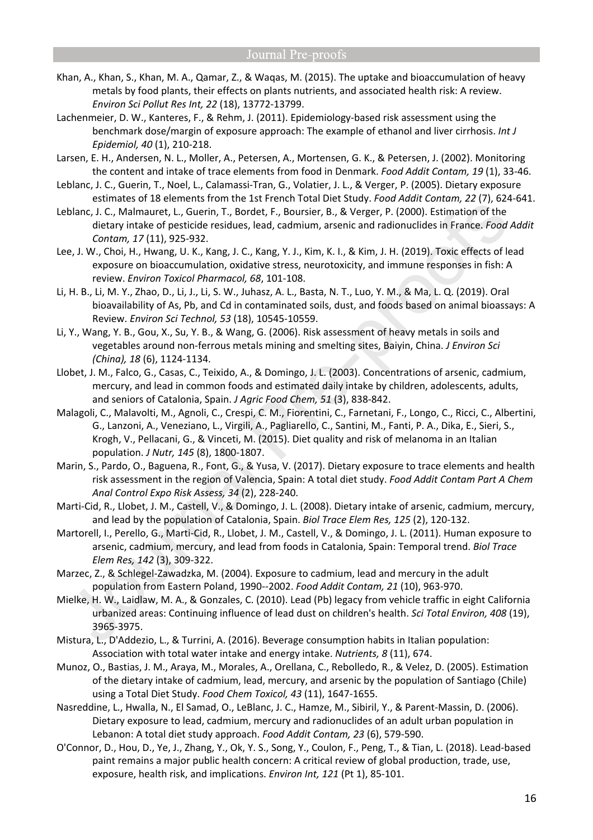- Khan, A., Khan, S., Khan, M. A., Qamar, Z., & Waqas, M. (2015). The uptake and bioaccumulation of heavy metals by food plants, their effects on plants nutrients, and associated health risk: A review. *Environ Sci Pollut Res Int, 22* (18), 13772-13799.
- Lachenmeier, D. W., Kanteres, F., & Rehm, J. (2011). Epidemiology-based risk assessment using the benchmark dose/margin of exposure approach: The example of ethanol and liver cirrhosis. *Int J Epidemiol, 40* (1), 210-218.
- Larsen, E. H., Andersen, N. L., Moller, A., Petersen, A., Mortensen, G. K., & Petersen, J. (2002). Monitoring the content and intake of trace elements from food in Denmark. *Food Addit Contam, 19* (1), 33-46.
- Leblanc, J. C., Guerin, T., Noel, L., Calamassi-Tran, G., Volatier, J. L., & Verger, P. (2005). Dietary exposure estimates of 18 elements from the 1st French Total Diet Study. *Food Addit Contam, 22* (7), 624-641.
- Leblanc, J. C., Malmauret, L., Guerin, T., Bordet, F., Boursier, B., & Verger, P. (2000). Estimation of the dietary intake of pesticide residues, lead, cadmium, arsenic and radionuclides in France. *Food Addit Contam, 17* (11), 925-932.
- Lee, J. W., Choi, H., Hwang, U. K., Kang, J. C., Kang, Y. J., Kim, K. I., & Kim, J. H. (2019). Toxic effects of lead exposure on bioaccumulation, oxidative stress, neurotoxicity, and immune responses in fish: A review. *Environ Toxicol Pharmacol, 68*, 101-108.
- Li, H. B., Li, M. Y., Zhao, D., Li, J., Li, S. W., Juhasz, A. L., Basta, N. T., Luo, Y. M., & Ma, L. Q. (2019). Oral bioavailability of As, Pb, and Cd in contaminated soils, dust, and foods based on animal bioassays: A Review. *Environ Sci Technol, 53* (18), 10545-10559.
- Li, Y., Wang, Y. B., Gou, X., Su, Y. B., & Wang, G. (2006). Risk assessment of heavy metals in soils and vegetables around non-ferrous metals mining and smelting sites, Baiyin, China. *J Environ Sci (China), 18* (6), 1124-1134.
- Llobet, J. M., Falco, G., Casas, C., Teixido, A., & Domingo, J. L. (2003). Concentrations of arsenic, cadmium, mercury, and lead in common foods and estimated daily intake by children, adolescents, adults, and seniors of Catalonia, Spain. *J Agric Food Chem, 51* (3), 838-842.
- Malagoli, C., Malavolti, M., Agnoli, C., Crespi, C. M., Fiorentini, C., Farnetani, F., Longo, C., Ricci, C., Albertini, G., Lanzoni, A., Veneziano, L., Virgili, A., Pagliarello, C., Santini, M., Fanti, P. A., Dika, E., Sieri, S., Krogh, V., Pellacani, G., & Vinceti, M. (2015). Diet quality and risk of melanoma in an Italian population. *J Nutr, 145* (8), 1800-1807.
- Marin, S., Pardo, O., Baguena, R., Font, G., & Yusa, V. (2017). Dietary exposure to trace elements and health risk assessment in the region of Valencia, Spain: A total diet study. *Food Addit Contam Part A Chem Anal Control Expo Risk Assess, 34* (2), 228-240.
- Marti-Cid, R., Llobet, J. M., Castell, V., & Domingo, J. L. (2008). Dietary intake of arsenic, cadmium, mercury, and lead by the population of Catalonia, Spain. *Biol Trace Elem Res, 125* (2), 120-132.
- Martorell, I., Perello, G., Marti-Cid, R., Llobet, J. M., Castell, V., & Domingo, J. L. (2011). Human exposure to arsenic, cadmium, mercury, and lead from foods in Catalonia, Spain: Temporal trend. *Biol Trace Elem Res, 142* (3), 309-322.
- Marzec, Z., & Schlegel-Zawadzka, M. (2004). Exposure to cadmium, lead and mercury in the adult population from Eastern Poland, 1990--2002. *Food Addit Contam, 21* (10), 963-970.
- Mielke, H. W., Laidlaw, M. A., & Gonzales, C. (2010). Lead (Pb) legacy from vehicle traffic in eight California urbanized areas: Continuing influence of lead dust on children's health. *Sci Total Environ, 408* (19), 3965-3975.
- Mistura, L., D'Addezio, L., & Turrini, A. (2016). Beverage consumption habits in Italian population: Association with total water intake and energy intake. *Nutrients, 8* (11), 674.
- Munoz, O., Bastias, J. M., Araya, M., Morales, A., Orellana, C., Rebolledo, R., & Velez, D. (2005). Estimation of the dietary intake of cadmium, lead, mercury, and arsenic by the population of Santiago (Chile) using a Total Diet Study. *Food Chem Toxicol, 43* (11), 1647-1655.
- Nasreddine, L., Hwalla, N., El Samad, O., LeBlanc, J. C., Hamze, M., Sibiril, Y., & Parent-Massin, D. (2006). Dietary exposure to lead, cadmium, mercury and radionuclides of an adult urban population in Lebanon: A total diet study approach. *Food Addit Contam, 23* (6), 579-590.
- O'Connor, D., Hou, D., Ye, J., Zhang, Y., Ok, Y. S., Song, Y., Coulon, F., Peng, T., & Tian, L. (2018). Lead-based paint remains a major public health concern: A critical review of global production, trade, use, exposure, health risk, and implications. *Environ Int, 121* (Pt 1), 85-101.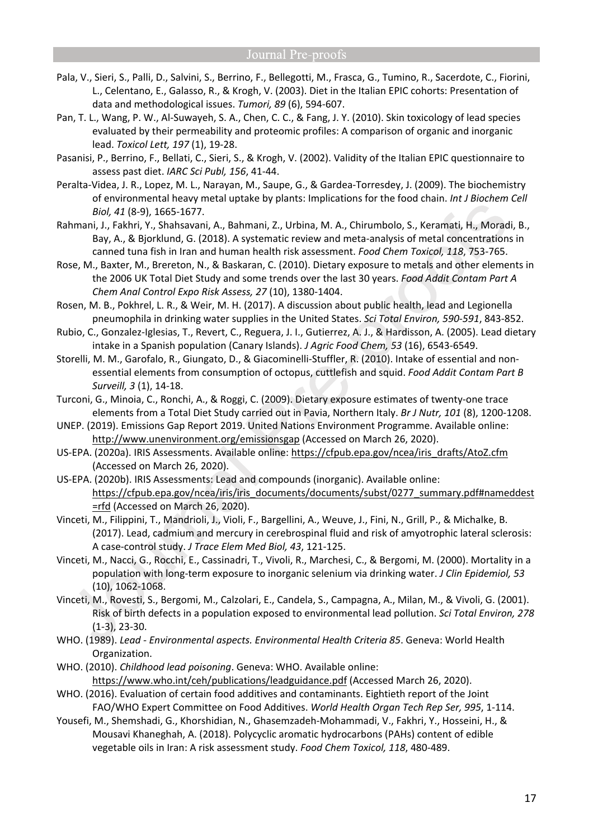- Pala, V., Sieri, S., Palli, D., Salvini, S., Berrino, F., Bellegotti, M., Frasca, G., Tumino, R., Sacerdote, C., Fiorini, L., Celentano, E., Galasso, R., & Krogh, V. (2003). Diet in the Italian EPIC cohorts: Presentation of data and methodological issues. *Tumori, 89* (6), 594-607.
- Pan, T. L., Wang, P. W., Al-Suwayeh, S. A., Chen, C. C., & Fang, J. Y. (2010). Skin toxicology of lead species evaluated by their permeability and proteomic profiles: A comparison of organic and inorganic lead. *Toxicol Lett, 197* (1), 19-28.
- Pasanisi, P., Berrino, F., Bellati, C., Sieri, S., & Krogh, V. (2002). Validity of the Italian EPIC questionnaire to assess past diet. *IARC Sci Publ, 156*, 41-44.
- Peralta-Videa, J. R., Lopez, M. L., Narayan, M., Saupe, G., & Gardea-Torresdey, J. (2009). The biochemistry of environmental heavy metal uptake by plants: Implications for the food chain. *Int J Biochem Cell Biol, 41* (8-9), 1665-1677.
- Rahmani, J., Fakhri, Y., Shahsavani, A., Bahmani, Z., Urbina, M. A., Chirumbolo, S., Keramati, H., Moradi, B., Bay, A., & Bjorklund, G. (2018). A systematic review and meta-analysis of metal concentrations in canned tuna fish in Iran and human health risk assessment. *Food Chem Toxicol, 118*, 753-765.
- Rose, M., Baxter, M., Brereton, N., & Baskaran, C. (2010). Dietary exposure to metals and other elements in the 2006 UK Total Diet Study and some trends over the last 30 years. *Food Addit Contam Part A Chem Anal Control Expo Risk Assess, 27* (10), 1380-1404.
- Rosen, M. B., Pokhrel, L. R., & Weir, M. H. (2017). A discussion about public health, lead and Legionella pneumophila in drinking water supplies in the United States. *Sci Total Environ, 590-591*, 843-852.
- Rubio, C., Gonzalez-Iglesias, T., Revert, C., Reguera, J. I., Gutierrez, A. J., & Hardisson, A. (2005). Lead dietary intake in a Spanish population (Canary Islands). *J Agric Food Chem, 53* (16), 6543-6549.
- Storelli, M. M., Garofalo, R., Giungato, D., & Giacominelli-Stuffler, R. (2010). Intake of essential and nonessential elements from consumption of octopus, cuttlefish and squid. *Food Addit Contam Part B Surveill, 3* (1), 14-18.
- Turconi, G., Minoia, C., Ronchi, A., & Roggi, C. (2009). Dietary exposure estimates of twenty-one trace elements from a Total Diet Study carried out in Pavia, Northern Italy. *Br J Nutr, 101* (8), 1200-1208.
- UNEP. (2019). Emissions Gap Report 2019. United Nations Environment Programme. Available online: http://www.unenvironment.org/emissionsgap (Accessed on March 26, 2020).
- US-EPA. (2020a). IRIS Assessments. Available online: https://cfpub.epa.gov/ncea/iris\_drafts/AtoZ.cfm (Accessed on March 26, 2020).
- US-EPA. (2020b). IRIS Assessments: Lead and compounds (inorganic). Available online: https://cfpub.epa.gov/ncea/iris/iris\_documents/documents/subst/0277\_summary.pdf#nameddest =rfd (Accessed on March 26, 2020).
- Vinceti, M., Filippini, T., Mandrioli, J., Violi, F., Bargellini, A., Weuve, J., Fini, N., Grill, P., & Michalke, B. (2017). Lead, cadmium and mercury in cerebrospinal fluid and risk of amyotrophic lateral sclerosis: A case-control study. *J Trace Elem Med Biol, 43*, 121-125.
- Vinceti, M., Nacci, G., Rocchi, E., Cassinadri, T., Vivoli, R., Marchesi, C., & Bergomi, M. (2000). Mortality in a population with long-term exposure to inorganic selenium via drinking water. *J Clin Epidemiol, 53* (10), 1062-1068.
- Vinceti, M., Rovesti, S., Bergomi, M., Calzolari, E., Candela, S., Campagna, A., Milan, M., & Vivoli, G. (2001). Risk of birth defects in a population exposed to environmental lead pollution. *Sci Total Environ, 278* (1-3), 23-30.
- WHO. (1989). *Lead Environmental aspects. Environmental Health Criteria 85*. Geneva: World Health Organization.
- WHO. (2010). *Childhood lead poisoning*. Geneva: WHO. Available online: https://www.who.int/ceh/publications/leadguidance.pdf (Accessed March 26, 2020).
- WHO. (2016). Evaluation of certain food additives and contaminants. Eightieth report of the Joint FAO/WHO Expert Committee on Food Additives. *World Health Organ Tech Rep Ser, 995*, 1-114.
- Yousefi, M., Shemshadi, G., Khorshidian, N., Ghasemzadeh-Mohammadi, V., Fakhri, Y., Hosseini, H., & Mousavi Khaneghah, A. (2018). Polycyclic aromatic hydrocarbons (PAHs) content of edible vegetable oils in Iran: A risk assessment study. *Food Chem Toxicol, 118*, 480-489.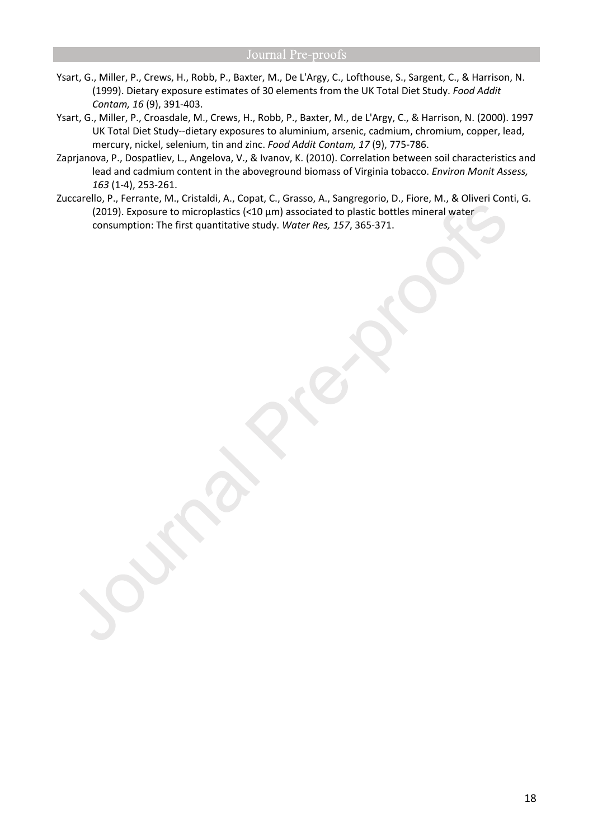- Ysart, G., Miller, P., Crews, H., Robb, P., Baxter, M., De L'Argy, C., Lofthouse, S., Sargent, C., & Harrison, N. (1999). Dietary exposure estimates of 30 elements from the UK Total Diet Study. *Food Addit Contam, 16* (9), 391-403.
- Ysart, G., Miller, P., Croasdale, M., Crews, H., Robb, P., Baxter, M., de L'Argy, C., & Harrison, N. (2000). 1997 UK Total Diet Study--dietary exposures to aluminium, arsenic, cadmium, chromium, copper, lead, mercury, nickel, selenium, tin and zinc. *Food Addit Contam, 17* (9), 775-786.
- Zaprjanova, P., Dospatliev, L., Angelova, V., & Ivanov, K. (2010). Correlation between soil characteristics and lead and cadmium content in the aboveground biomass of Virginia tobacco. *Environ Monit Assess, 163* (1-4), 253-261.
- Zuccarello, P., Ferrante, M., Cristaldi, A., Copat, C., Grasso, A., Sangregorio, D., Fiore, M., & Oliveri Conti, G. (2019). Exposure to microplastics (<10 µm) associated to plastic bottles mineral water consumption: The first quantitative study. *Water Res, 157*, 365-371.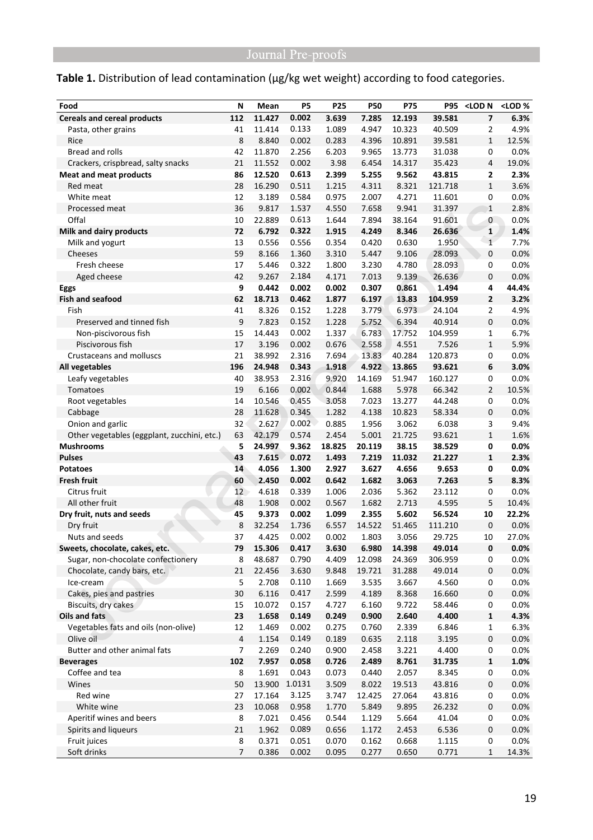# Table 1. Distribution of lead contamination (µg/kg wet weight) according to food categories.

| 11.427<br>0.002<br>3.639<br>12.193<br>$\overline{\mathbf{z}}$<br>6.3%<br>112<br>7.285<br>39.581<br><b>Cereals and cereal products</b><br>11.414<br>0.133<br>1.089<br>4.947<br>10.323<br>40.509<br>4.9%<br>Pasta, other grains<br>41<br>2<br>8<br>8.840<br>0.002<br>0.283<br>4.396<br>10.891<br>39.581<br>$\mathbf{1}$<br>12.5%<br>Rice<br>Bread and rolls<br>42<br>11.870<br>2.256<br>6.203<br>9.965<br>13.773<br>31.038<br>0<br>0.0%<br>0.002<br>21<br>11.552<br>3.98<br>6.454<br>14.317<br>35.423<br>4<br>19.0%<br>Crackers, crispbread, salty snacks<br>86<br>0.613<br>12.520<br>2.399<br>5.255<br>43.815<br>2<br>2.3%<br><b>Meat and meat products</b><br>9.562<br>$\mathbf{1}$<br>Red meat<br>28<br>16.290<br>0.511<br>1.215<br>4.311<br>8.321<br>121.718<br>3.6%<br>12<br>3.189<br>0.584<br>0.975<br>2.007<br>4.271<br>0<br>0.0%<br>White meat<br>11.601<br>36<br>1.537<br>2.8%<br>9.817<br>4.550<br>7.658<br>9.941<br>31.397<br>Processed meat<br>$\mathbf 1$<br>Offal<br>91.601<br>0<br>0.0%<br>10<br>22.889<br>0.613<br>1.644<br>7.894<br>38.164<br>0.322<br>$\mathbf 1$<br><b>Milk and dairy products</b><br>72<br>6.792<br>1.915<br>4.249<br>8.346<br>26.636<br>1.4%<br>0.556<br>13<br>0.556<br>0.354<br>0.420<br>0.630<br>1.950<br>$\mathbf{1}$<br>7.7%<br>Milk and yogurt<br>59<br>1.360<br>0<br>8.166<br>3.310<br>5.447<br>9.106<br>28.093<br>0.0%<br>Cheeses<br>Fresh cheese<br>5.446<br>0.322<br>1.800<br>3.230<br>4.780<br>28.093<br>0<br>0.0%<br>17<br>42<br>9.267<br>2.184<br>4.171<br>7.013<br>9.139<br>26.636<br>0<br>0.0%<br>Aged cheese<br>9<br>0.002<br>0.442<br>0.002<br>0.307<br>0.861<br>1.494<br>4<br>44.4%<br>Eggs<br>0.462<br>$\mathbf{z}$<br>3.2%<br><b>Fish and seafood</b><br>62<br>18.713<br>1.877<br>6.197<br>13.83<br>104.959<br>3.779<br>$\overline{2}$<br>Fish<br>41<br>8.326<br>0.152<br>1.228<br>6.973<br>24.104<br>4.9%<br>9<br>0.152<br>0<br>Preserved and tinned fish<br>7.823<br>1.228<br>5.752<br>6.394<br>40.914<br>0.0%<br>0.002<br>15<br>14.443<br>1.337<br>6.783<br>17.752<br>104.959<br>$\mathbf{1}$<br>6.7%<br>Non-piscivorous fish<br>$\mathbf{1}$<br>17<br>3.196<br>0.002<br>0.676<br>2.558<br>4.551<br>7.526<br>5.9%<br>Piscivorous fish<br>21<br>38.992<br>2.316<br>7.694<br>13.83<br>40.284<br>120.873<br>0<br>0.0%<br>Crustaceans and molluscs<br>0.343<br>4.922<br>196<br>24.948<br>1.918<br>13.865<br>93.621<br>6<br>3.0%<br>All vegetables<br>2.316<br>40<br>38.953<br>9.920<br>14.169<br>51.947<br>160.127<br>0<br>0.0%<br>Leafy vegetables<br>$\overline{2}$<br>19<br>6.166<br>0.002<br>0.844<br>1.688<br>5.978<br>66.342<br>10.5%<br>Tomatoes<br>14<br>10.546<br>0.455<br>3.058<br>7.023<br>13.277<br>44.248<br>0<br>0.0%<br>Root vegetables<br>0.345<br>0<br>Cabbage<br>28<br>11.628<br>1.282<br>4.138<br>10.823<br>58.334<br>0.0%<br>32<br>6.038<br>Onion and garlic<br>2.627<br>0.002<br>0.885<br>1.956<br>3.062<br>3<br>9.4%<br>63<br>$\mathbf 1$<br>42.179<br>0.574<br>2.454<br>5.001<br>21.725<br>93.621<br>1.6%<br>Other vegetables (eggplant, zucchini, etc.)<br>5<br>9.362<br><b>Mushrooms</b><br>24.997<br>18.825<br>20.119<br>38.15<br>38.529<br>0<br>0.0%<br>0.072<br>21.227<br>43<br>7.615<br>1.493<br>7.219<br>11.032<br>1<br>2.3%<br><b>Pulses</b><br>14<br>4.056<br>1.300<br>2.927<br>3.627<br>4.656<br>9.653<br>0<br>0.0%<br><b>Potatoes</b><br>5<br><b>Fresh fruit</b><br>60<br>2.450<br>0.002<br>0.642<br>1.682<br>3.063<br>7.263<br>8.3%<br>0.339<br>Citrus fruit<br>12<br>4.618<br>1.006<br>2.036<br>5.362<br>0<br>0.0%<br>23.112<br>0.002<br>5<br>48<br>1.908<br>0.567<br>1.682<br>2.713<br>4.595<br>10.4%<br>All other fruit<br>9.373<br>0.002<br>5.602<br>56.524<br>10<br>22.2%<br>Dry fruit, nuts and seeds<br>45<br>1.099<br>2.355<br>8<br>$\pmb{0}$<br>32.254<br>1.736<br>6.557<br>14.522<br>51.465<br>111.210<br>0.0%<br>Dry fruit<br>0.002<br>37<br>4.425<br>0.002<br>1.803<br>3.056<br>29.725<br>10<br>27.0%<br>Nuts and seeds<br>Sweets, chocolate, cakes, etc.<br>15.306<br>0.417<br>3.630<br>6.980<br>14.398<br>49.014<br>0<br>0.0%<br>79<br>Sugar, non-chocolate confectionery<br>8<br>0.790<br>4.409<br>0.0%<br>48.687<br>12.098<br>24.369<br>306.959<br>0<br>3.630<br>9.848<br>19.721<br>0<br>0.0%<br>Chocolate, candy bars, etc.<br>21<br>22.456<br>31.288<br>49.014<br>5<br>2.708<br>0.110<br>0.0%<br>1.669<br>3.535<br>3.667<br>4.560<br>0<br>Ice-cream<br>Cakes, pies and pastries<br>$30\,$<br>6.116<br>0.417<br>2.599<br>4.189<br>16.660<br>0<br>0.0%<br>8.368<br>15<br>10.072<br>0.157<br>4.727<br>6.160<br>9.722<br>0<br>0.0%<br>Biscuits, dry cakes<br>58.446<br>23<br>$\mathbf{1}$<br>Oils and fats<br>1.658<br>0.149<br>0.900<br>2.640<br>4.400<br>4.3%<br>0.249<br>12<br>0.002<br>Vegetables fats and oils (non-olive)<br>1.469<br>0.275<br>0.760<br>2.339<br>6.846<br>$\mathbf{1}$<br>6.3%<br>4<br>$\boldsymbol{0}$<br>Olive oil<br>0.149<br>0.189<br>0.635<br>3.195<br>0.0%<br>1.154<br>2.118<br>0.240<br>$\overline{7}$<br>2.269<br>0.900<br>2.458<br>3.221<br>4.400<br>0<br>0.0%<br>Butter and other animal fats<br>102<br>7.957<br>0.058<br>0.726<br>2.489<br>8.761<br>31.735<br>1<br>1.0%<br><b>Beverages</b><br>8<br>1.691<br>0.043<br>2.057<br>0.0%<br>Coffee and tea<br>0.073<br>0.440<br>8.345<br>0<br>50<br>13.900<br>1.0131<br>3.509<br>8.022<br>0<br>0.0%<br>Wines<br>19.513<br>43.816<br>Red wine<br>27<br>17.164<br>3.125<br>12.425<br>27.064<br>0<br>0.0%<br>3.747<br>43.816<br>White wine<br>23<br>10.068<br>0.958<br>1.770<br>5.849<br>9.895<br>26.232<br>0<br>0.0% | Food | N | Mean | P5 | P25 | <b>P50</b> | <b>P75</b> | <b>P95</b> | <lod n<="" th=""><th><lod%< th=""></lod%<></th></lod> | <lod%< th=""></lod%<> |
|------------------------------------------------------------------------------------------------------------------------------------------------------------------------------------------------------------------------------------------------------------------------------------------------------------------------------------------------------------------------------------------------------------------------------------------------------------------------------------------------------------------------------------------------------------------------------------------------------------------------------------------------------------------------------------------------------------------------------------------------------------------------------------------------------------------------------------------------------------------------------------------------------------------------------------------------------------------------------------------------------------------------------------------------------------------------------------------------------------------------------------------------------------------------------------------------------------------------------------------------------------------------------------------------------------------------------------------------------------------------------------------------------------------------------------------------------------------------------------------------------------------------------------------------------------------------------------------------------------------------------------------------------------------------------------------------------------------------------------------------------------------------------------------------------------------------------------------------------------------------------------------------------------------------------------------------------------------------------------------------------------------------------------------------------------------------------------------------------------------------------------------------------------------------------------------------------------------------------------------------------------------------------------------------------------------------------------------------------------------------------------------------------------------------------------------------------------------------------------------------------------------------------------------------------------------------------------------------------------------------------------------------------------------------------------------------------------------------------------------------------------------------------------------------------------------------------------------------------------------------------------------------------------------------------------------------------------------------------------------------------------------------------------------------------------------------------------------------------------------------------------------------------------------------------------------------------------------------------------------------------------------------------------------------------------------------------------------------------------------------------------------------------------------------------------------------------------------------------------------------------------------------------------------------------------------------------------------------------------------------------------------------------------------------------------------------------------------------------------------------------------------------------------------------------------------------------------------------------------------------------------------------------------------------------------------------------------------------------------------------------------------------------------------------------------------------------------------------------------------------------------------------------------------------------------------------------------------------------------------------------------------------------------------------------------------------------------------------------------------------------------------------------------------------------------------------------------------------------------------------------------------------------------------------------------------------------------------------------------------------------------------------------------------------------------------------------------------------------------------------------------------------------------------------------------------------------------------------------------------------------------------------------------------------------------------------------------------------------------------------------------------------------------------------------------------------------------------------------------------------------------------------------------------------------------------------------------------------------------------------------------------------------------------------------------------------------------------------------------------------------------------------------------------------------------------------------------------------------------------------------|------|---|------|----|-----|------------|------------|------------|-------------------------------------------------------|-----------------------|
|                                                                                                                                                                                                                                                                                                                                                                                                                                                                                                                                                                                                                                                                                                                                                                                                                                                                                                                                                                                                                                                                                                                                                                                                                                                                                                                                                                                                                                                                                                                                                                                                                                                                                                                                                                                                                                                                                                                                                                                                                                                                                                                                                                                                                                                                                                                                                                                                                                                                                                                                                                                                                                                                                                                                                                                                                                                                                                                                                                                                                                                                                                                                                                                                                                                                                                                                                                                                                                                                                                                                                                                                                                                                                                                                                                                                                                                                                                                                                                                                                                                                                                                                                                                                                                                                                                                                                                                                                                                                                                                                                                                                                                                                                                                                                                                                                                                                                                                                                                                                                                                                                                                                                                                                                                                                                                                                                                                                                                                                                                      |      |   |      |    |     |            |            |            |                                                       |                       |
|                                                                                                                                                                                                                                                                                                                                                                                                                                                                                                                                                                                                                                                                                                                                                                                                                                                                                                                                                                                                                                                                                                                                                                                                                                                                                                                                                                                                                                                                                                                                                                                                                                                                                                                                                                                                                                                                                                                                                                                                                                                                                                                                                                                                                                                                                                                                                                                                                                                                                                                                                                                                                                                                                                                                                                                                                                                                                                                                                                                                                                                                                                                                                                                                                                                                                                                                                                                                                                                                                                                                                                                                                                                                                                                                                                                                                                                                                                                                                                                                                                                                                                                                                                                                                                                                                                                                                                                                                                                                                                                                                                                                                                                                                                                                                                                                                                                                                                                                                                                                                                                                                                                                                                                                                                                                                                                                                                                                                                                                                                      |      |   |      |    |     |            |            |            |                                                       |                       |
|                                                                                                                                                                                                                                                                                                                                                                                                                                                                                                                                                                                                                                                                                                                                                                                                                                                                                                                                                                                                                                                                                                                                                                                                                                                                                                                                                                                                                                                                                                                                                                                                                                                                                                                                                                                                                                                                                                                                                                                                                                                                                                                                                                                                                                                                                                                                                                                                                                                                                                                                                                                                                                                                                                                                                                                                                                                                                                                                                                                                                                                                                                                                                                                                                                                                                                                                                                                                                                                                                                                                                                                                                                                                                                                                                                                                                                                                                                                                                                                                                                                                                                                                                                                                                                                                                                                                                                                                                                                                                                                                                                                                                                                                                                                                                                                                                                                                                                                                                                                                                                                                                                                                                                                                                                                                                                                                                                                                                                                                                                      |      |   |      |    |     |            |            |            |                                                       |                       |
|                                                                                                                                                                                                                                                                                                                                                                                                                                                                                                                                                                                                                                                                                                                                                                                                                                                                                                                                                                                                                                                                                                                                                                                                                                                                                                                                                                                                                                                                                                                                                                                                                                                                                                                                                                                                                                                                                                                                                                                                                                                                                                                                                                                                                                                                                                                                                                                                                                                                                                                                                                                                                                                                                                                                                                                                                                                                                                                                                                                                                                                                                                                                                                                                                                                                                                                                                                                                                                                                                                                                                                                                                                                                                                                                                                                                                                                                                                                                                                                                                                                                                                                                                                                                                                                                                                                                                                                                                                                                                                                                                                                                                                                                                                                                                                                                                                                                                                                                                                                                                                                                                                                                                                                                                                                                                                                                                                                                                                                                                                      |      |   |      |    |     |            |            |            |                                                       |                       |
|                                                                                                                                                                                                                                                                                                                                                                                                                                                                                                                                                                                                                                                                                                                                                                                                                                                                                                                                                                                                                                                                                                                                                                                                                                                                                                                                                                                                                                                                                                                                                                                                                                                                                                                                                                                                                                                                                                                                                                                                                                                                                                                                                                                                                                                                                                                                                                                                                                                                                                                                                                                                                                                                                                                                                                                                                                                                                                                                                                                                                                                                                                                                                                                                                                                                                                                                                                                                                                                                                                                                                                                                                                                                                                                                                                                                                                                                                                                                                                                                                                                                                                                                                                                                                                                                                                                                                                                                                                                                                                                                                                                                                                                                                                                                                                                                                                                                                                                                                                                                                                                                                                                                                                                                                                                                                                                                                                                                                                                                                                      |      |   |      |    |     |            |            |            |                                                       |                       |
|                                                                                                                                                                                                                                                                                                                                                                                                                                                                                                                                                                                                                                                                                                                                                                                                                                                                                                                                                                                                                                                                                                                                                                                                                                                                                                                                                                                                                                                                                                                                                                                                                                                                                                                                                                                                                                                                                                                                                                                                                                                                                                                                                                                                                                                                                                                                                                                                                                                                                                                                                                                                                                                                                                                                                                                                                                                                                                                                                                                                                                                                                                                                                                                                                                                                                                                                                                                                                                                                                                                                                                                                                                                                                                                                                                                                                                                                                                                                                                                                                                                                                                                                                                                                                                                                                                                                                                                                                                                                                                                                                                                                                                                                                                                                                                                                                                                                                                                                                                                                                                                                                                                                                                                                                                                                                                                                                                                                                                                                                                      |      |   |      |    |     |            |            |            |                                                       |                       |
|                                                                                                                                                                                                                                                                                                                                                                                                                                                                                                                                                                                                                                                                                                                                                                                                                                                                                                                                                                                                                                                                                                                                                                                                                                                                                                                                                                                                                                                                                                                                                                                                                                                                                                                                                                                                                                                                                                                                                                                                                                                                                                                                                                                                                                                                                                                                                                                                                                                                                                                                                                                                                                                                                                                                                                                                                                                                                                                                                                                                                                                                                                                                                                                                                                                                                                                                                                                                                                                                                                                                                                                                                                                                                                                                                                                                                                                                                                                                                                                                                                                                                                                                                                                                                                                                                                                                                                                                                                                                                                                                                                                                                                                                                                                                                                                                                                                                                                                                                                                                                                                                                                                                                                                                                                                                                                                                                                                                                                                                                                      |      |   |      |    |     |            |            |            |                                                       |                       |
|                                                                                                                                                                                                                                                                                                                                                                                                                                                                                                                                                                                                                                                                                                                                                                                                                                                                                                                                                                                                                                                                                                                                                                                                                                                                                                                                                                                                                                                                                                                                                                                                                                                                                                                                                                                                                                                                                                                                                                                                                                                                                                                                                                                                                                                                                                                                                                                                                                                                                                                                                                                                                                                                                                                                                                                                                                                                                                                                                                                                                                                                                                                                                                                                                                                                                                                                                                                                                                                                                                                                                                                                                                                                                                                                                                                                                                                                                                                                                                                                                                                                                                                                                                                                                                                                                                                                                                                                                                                                                                                                                                                                                                                                                                                                                                                                                                                                                                                                                                                                                                                                                                                                                                                                                                                                                                                                                                                                                                                                                                      |      |   |      |    |     |            |            |            |                                                       |                       |
|                                                                                                                                                                                                                                                                                                                                                                                                                                                                                                                                                                                                                                                                                                                                                                                                                                                                                                                                                                                                                                                                                                                                                                                                                                                                                                                                                                                                                                                                                                                                                                                                                                                                                                                                                                                                                                                                                                                                                                                                                                                                                                                                                                                                                                                                                                                                                                                                                                                                                                                                                                                                                                                                                                                                                                                                                                                                                                                                                                                                                                                                                                                                                                                                                                                                                                                                                                                                                                                                                                                                                                                                                                                                                                                                                                                                                                                                                                                                                                                                                                                                                                                                                                                                                                                                                                                                                                                                                                                                                                                                                                                                                                                                                                                                                                                                                                                                                                                                                                                                                                                                                                                                                                                                                                                                                                                                                                                                                                                                                                      |      |   |      |    |     |            |            |            |                                                       |                       |
|                                                                                                                                                                                                                                                                                                                                                                                                                                                                                                                                                                                                                                                                                                                                                                                                                                                                                                                                                                                                                                                                                                                                                                                                                                                                                                                                                                                                                                                                                                                                                                                                                                                                                                                                                                                                                                                                                                                                                                                                                                                                                                                                                                                                                                                                                                                                                                                                                                                                                                                                                                                                                                                                                                                                                                                                                                                                                                                                                                                                                                                                                                                                                                                                                                                                                                                                                                                                                                                                                                                                                                                                                                                                                                                                                                                                                                                                                                                                                                                                                                                                                                                                                                                                                                                                                                                                                                                                                                                                                                                                                                                                                                                                                                                                                                                                                                                                                                                                                                                                                                                                                                                                                                                                                                                                                                                                                                                                                                                                                                      |      |   |      |    |     |            |            |            |                                                       |                       |
|                                                                                                                                                                                                                                                                                                                                                                                                                                                                                                                                                                                                                                                                                                                                                                                                                                                                                                                                                                                                                                                                                                                                                                                                                                                                                                                                                                                                                                                                                                                                                                                                                                                                                                                                                                                                                                                                                                                                                                                                                                                                                                                                                                                                                                                                                                                                                                                                                                                                                                                                                                                                                                                                                                                                                                                                                                                                                                                                                                                                                                                                                                                                                                                                                                                                                                                                                                                                                                                                                                                                                                                                                                                                                                                                                                                                                                                                                                                                                                                                                                                                                                                                                                                                                                                                                                                                                                                                                                                                                                                                                                                                                                                                                                                                                                                                                                                                                                                                                                                                                                                                                                                                                                                                                                                                                                                                                                                                                                                                                                      |      |   |      |    |     |            |            |            |                                                       |                       |
|                                                                                                                                                                                                                                                                                                                                                                                                                                                                                                                                                                                                                                                                                                                                                                                                                                                                                                                                                                                                                                                                                                                                                                                                                                                                                                                                                                                                                                                                                                                                                                                                                                                                                                                                                                                                                                                                                                                                                                                                                                                                                                                                                                                                                                                                                                                                                                                                                                                                                                                                                                                                                                                                                                                                                                                                                                                                                                                                                                                                                                                                                                                                                                                                                                                                                                                                                                                                                                                                                                                                                                                                                                                                                                                                                                                                                                                                                                                                                                                                                                                                                                                                                                                                                                                                                                                                                                                                                                                                                                                                                                                                                                                                                                                                                                                                                                                                                                                                                                                                                                                                                                                                                                                                                                                                                                                                                                                                                                                                                                      |      |   |      |    |     |            |            |            |                                                       |                       |
|                                                                                                                                                                                                                                                                                                                                                                                                                                                                                                                                                                                                                                                                                                                                                                                                                                                                                                                                                                                                                                                                                                                                                                                                                                                                                                                                                                                                                                                                                                                                                                                                                                                                                                                                                                                                                                                                                                                                                                                                                                                                                                                                                                                                                                                                                                                                                                                                                                                                                                                                                                                                                                                                                                                                                                                                                                                                                                                                                                                                                                                                                                                                                                                                                                                                                                                                                                                                                                                                                                                                                                                                                                                                                                                                                                                                                                                                                                                                                                                                                                                                                                                                                                                                                                                                                                                                                                                                                                                                                                                                                                                                                                                                                                                                                                                                                                                                                                                                                                                                                                                                                                                                                                                                                                                                                                                                                                                                                                                                                                      |      |   |      |    |     |            |            |            |                                                       |                       |
|                                                                                                                                                                                                                                                                                                                                                                                                                                                                                                                                                                                                                                                                                                                                                                                                                                                                                                                                                                                                                                                                                                                                                                                                                                                                                                                                                                                                                                                                                                                                                                                                                                                                                                                                                                                                                                                                                                                                                                                                                                                                                                                                                                                                                                                                                                                                                                                                                                                                                                                                                                                                                                                                                                                                                                                                                                                                                                                                                                                                                                                                                                                                                                                                                                                                                                                                                                                                                                                                                                                                                                                                                                                                                                                                                                                                                                                                                                                                                                                                                                                                                                                                                                                                                                                                                                                                                                                                                                                                                                                                                                                                                                                                                                                                                                                                                                                                                                                                                                                                                                                                                                                                                                                                                                                                                                                                                                                                                                                                                                      |      |   |      |    |     |            |            |            |                                                       |                       |
|                                                                                                                                                                                                                                                                                                                                                                                                                                                                                                                                                                                                                                                                                                                                                                                                                                                                                                                                                                                                                                                                                                                                                                                                                                                                                                                                                                                                                                                                                                                                                                                                                                                                                                                                                                                                                                                                                                                                                                                                                                                                                                                                                                                                                                                                                                                                                                                                                                                                                                                                                                                                                                                                                                                                                                                                                                                                                                                                                                                                                                                                                                                                                                                                                                                                                                                                                                                                                                                                                                                                                                                                                                                                                                                                                                                                                                                                                                                                                                                                                                                                                                                                                                                                                                                                                                                                                                                                                                                                                                                                                                                                                                                                                                                                                                                                                                                                                                                                                                                                                                                                                                                                                                                                                                                                                                                                                                                                                                                                                                      |      |   |      |    |     |            |            |            |                                                       |                       |
|                                                                                                                                                                                                                                                                                                                                                                                                                                                                                                                                                                                                                                                                                                                                                                                                                                                                                                                                                                                                                                                                                                                                                                                                                                                                                                                                                                                                                                                                                                                                                                                                                                                                                                                                                                                                                                                                                                                                                                                                                                                                                                                                                                                                                                                                                                                                                                                                                                                                                                                                                                                                                                                                                                                                                                                                                                                                                                                                                                                                                                                                                                                                                                                                                                                                                                                                                                                                                                                                                                                                                                                                                                                                                                                                                                                                                                                                                                                                                                                                                                                                                                                                                                                                                                                                                                                                                                                                                                                                                                                                                                                                                                                                                                                                                                                                                                                                                                                                                                                                                                                                                                                                                                                                                                                                                                                                                                                                                                                                                                      |      |   |      |    |     |            |            |            |                                                       |                       |
|                                                                                                                                                                                                                                                                                                                                                                                                                                                                                                                                                                                                                                                                                                                                                                                                                                                                                                                                                                                                                                                                                                                                                                                                                                                                                                                                                                                                                                                                                                                                                                                                                                                                                                                                                                                                                                                                                                                                                                                                                                                                                                                                                                                                                                                                                                                                                                                                                                                                                                                                                                                                                                                                                                                                                                                                                                                                                                                                                                                                                                                                                                                                                                                                                                                                                                                                                                                                                                                                                                                                                                                                                                                                                                                                                                                                                                                                                                                                                                                                                                                                                                                                                                                                                                                                                                                                                                                                                                                                                                                                                                                                                                                                                                                                                                                                                                                                                                                                                                                                                                                                                                                                                                                                                                                                                                                                                                                                                                                                                                      |      |   |      |    |     |            |            |            |                                                       |                       |
|                                                                                                                                                                                                                                                                                                                                                                                                                                                                                                                                                                                                                                                                                                                                                                                                                                                                                                                                                                                                                                                                                                                                                                                                                                                                                                                                                                                                                                                                                                                                                                                                                                                                                                                                                                                                                                                                                                                                                                                                                                                                                                                                                                                                                                                                                                                                                                                                                                                                                                                                                                                                                                                                                                                                                                                                                                                                                                                                                                                                                                                                                                                                                                                                                                                                                                                                                                                                                                                                                                                                                                                                                                                                                                                                                                                                                                                                                                                                                                                                                                                                                                                                                                                                                                                                                                                                                                                                                                                                                                                                                                                                                                                                                                                                                                                                                                                                                                                                                                                                                                                                                                                                                                                                                                                                                                                                                                                                                                                                                                      |      |   |      |    |     |            |            |            |                                                       |                       |
|                                                                                                                                                                                                                                                                                                                                                                                                                                                                                                                                                                                                                                                                                                                                                                                                                                                                                                                                                                                                                                                                                                                                                                                                                                                                                                                                                                                                                                                                                                                                                                                                                                                                                                                                                                                                                                                                                                                                                                                                                                                                                                                                                                                                                                                                                                                                                                                                                                                                                                                                                                                                                                                                                                                                                                                                                                                                                                                                                                                                                                                                                                                                                                                                                                                                                                                                                                                                                                                                                                                                                                                                                                                                                                                                                                                                                                                                                                                                                                                                                                                                                                                                                                                                                                                                                                                                                                                                                                                                                                                                                                                                                                                                                                                                                                                                                                                                                                                                                                                                                                                                                                                                                                                                                                                                                                                                                                                                                                                                                                      |      |   |      |    |     |            |            |            |                                                       |                       |
|                                                                                                                                                                                                                                                                                                                                                                                                                                                                                                                                                                                                                                                                                                                                                                                                                                                                                                                                                                                                                                                                                                                                                                                                                                                                                                                                                                                                                                                                                                                                                                                                                                                                                                                                                                                                                                                                                                                                                                                                                                                                                                                                                                                                                                                                                                                                                                                                                                                                                                                                                                                                                                                                                                                                                                                                                                                                                                                                                                                                                                                                                                                                                                                                                                                                                                                                                                                                                                                                                                                                                                                                                                                                                                                                                                                                                                                                                                                                                                                                                                                                                                                                                                                                                                                                                                                                                                                                                                                                                                                                                                                                                                                                                                                                                                                                                                                                                                                                                                                                                                                                                                                                                                                                                                                                                                                                                                                                                                                                                                      |      |   |      |    |     |            |            |            |                                                       |                       |
|                                                                                                                                                                                                                                                                                                                                                                                                                                                                                                                                                                                                                                                                                                                                                                                                                                                                                                                                                                                                                                                                                                                                                                                                                                                                                                                                                                                                                                                                                                                                                                                                                                                                                                                                                                                                                                                                                                                                                                                                                                                                                                                                                                                                                                                                                                                                                                                                                                                                                                                                                                                                                                                                                                                                                                                                                                                                                                                                                                                                                                                                                                                                                                                                                                                                                                                                                                                                                                                                                                                                                                                                                                                                                                                                                                                                                                                                                                                                                                                                                                                                                                                                                                                                                                                                                                                                                                                                                                                                                                                                                                                                                                                                                                                                                                                                                                                                                                                                                                                                                                                                                                                                                                                                                                                                                                                                                                                                                                                                                                      |      |   |      |    |     |            |            |            |                                                       |                       |
|                                                                                                                                                                                                                                                                                                                                                                                                                                                                                                                                                                                                                                                                                                                                                                                                                                                                                                                                                                                                                                                                                                                                                                                                                                                                                                                                                                                                                                                                                                                                                                                                                                                                                                                                                                                                                                                                                                                                                                                                                                                                                                                                                                                                                                                                                                                                                                                                                                                                                                                                                                                                                                                                                                                                                                                                                                                                                                                                                                                                                                                                                                                                                                                                                                                                                                                                                                                                                                                                                                                                                                                                                                                                                                                                                                                                                                                                                                                                                                                                                                                                                                                                                                                                                                                                                                                                                                                                                                                                                                                                                                                                                                                                                                                                                                                                                                                                                                                                                                                                                                                                                                                                                                                                                                                                                                                                                                                                                                                                                                      |      |   |      |    |     |            |            |            |                                                       |                       |
|                                                                                                                                                                                                                                                                                                                                                                                                                                                                                                                                                                                                                                                                                                                                                                                                                                                                                                                                                                                                                                                                                                                                                                                                                                                                                                                                                                                                                                                                                                                                                                                                                                                                                                                                                                                                                                                                                                                                                                                                                                                                                                                                                                                                                                                                                                                                                                                                                                                                                                                                                                                                                                                                                                                                                                                                                                                                                                                                                                                                                                                                                                                                                                                                                                                                                                                                                                                                                                                                                                                                                                                                                                                                                                                                                                                                                                                                                                                                                                                                                                                                                                                                                                                                                                                                                                                                                                                                                                                                                                                                                                                                                                                                                                                                                                                                                                                                                                                                                                                                                                                                                                                                                                                                                                                                                                                                                                                                                                                                                                      |      |   |      |    |     |            |            |            |                                                       |                       |
|                                                                                                                                                                                                                                                                                                                                                                                                                                                                                                                                                                                                                                                                                                                                                                                                                                                                                                                                                                                                                                                                                                                                                                                                                                                                                                                                                                                                                                                                                                                                                                                                                                                                                                                                                                                                                                                                                                                                                                                                                                                                                                                                                                                                                                                                                                                                                                                                                                                                                                                                                                                                                                                                                                                                                                                                                                                                                                                                                                                                                                                                                                                                                                                                                                                                                                                                                                                                                                                                                                                                                                                                                                                                                                                                                                                                                                                                                                                                                                                                                                                                                                                                                                                                                                                                                                                                                                                                                                                                                                                                                                                                                                                                                                                                                                                                                                                                                                                                                                                                                                                                                                                                                                                                                                                                                                                                                                                                                                                                                                      |      |   |      |    |     |            |            |            |                                                       |                       |
|                                                                                                                                                                                                                                                                                                                                                                                                                                                                                                                                                                                                                                                                                                                                                                                                                                                                                                                                                                                                                                                                                                                                                                                                                                                                                                                                                                                                                                                                                                                                                                                                                                                                                                                                                                                                                                                                                                                                                                                                                                                                                                                                                                                                                                                                                                                                                                                                                                                                                                                                                                                                                                                                                                                                                                                                                                                                                                                                                                                                                                                                                                                                                                                                                                                                                                                                                                                                                                                                                                                                                                                                                                                                                                                                                                                                                                                                                                                                                                                                                                                                                                                                                                                                                                                                                                                                                                                                                                                                                                                                                                                                                                                                                                                                                                                                                                                                                                                                                                                                                                                                                                                                                                                                                                                                                                                                                                                                                                                                                                      |      |   |      |    |     |            |            |            |                                                       |                       |
|                                                                                                                                                                                                                                                                                                                                                                                                                                                                                                                                                                                                                                                                                                                                                                                                                                                                                                                                                                                                                                                                                                                                                                                                                                                                                                                                                                                                                                                                                                                                                                                                                                                                                                                                                                                                                                                                                                                                                                                                                                                                                                                                                                                                                                                                                                                                                                                                                                                                                                                                                                                                                                                                                                                                                                                                                                                                                                                                                                                                                                                                                                                                                                                                                                                                                                                                                                                                                                                                                                                                                                                                                                                                                                                                                                                                                                                                                                                                                                                                                                                                                                                                                                                                                                                                                                                                                                                                                                                                                                                                                                                                                                                                                                                                                                                                                                                                                                                                                                                                                                                                                                                                                                                                                                                                                                                                                                                                                                                                                                      |      |   |      |    |     |            |            |            |                                                       |                       |
|                                                                                                                                                                                                                                                                                                                                                                                                                                                                                                                                                                                                                                                                                                                                                                                                                                                                                                                                                                                                                                                                                                                                                                                                                                                                                                                                                                                                                                                                                                                                                                                                                                                                                                                                                                                                                                                                                                                                                                                                                                                                                                                                                                                                                                                                                                                                                                                                                                                                                                                                                                                                                                                                                                                                                                                                                                                                                                                                                                                                                                                                                                                                                                                                                                                                                                                                                                                                                                                                                                                                                                                                                                                                                                                                                                                                                                                                                                                                                                                                                                                                                                                                                                                                                                                                                                                                                                                                                                                                                                                                                                                                                                                                                                                                                                                                                                                                                                                                                                                                                                                                                                                                                                                                                                                                                                                                                                                                                                                                                                      |      |   |      |    |     |            |            |            |                                                       |                       |
|                                                                                                                                                                                                                                                                                                                                                                                                                                                                                                                                                                                                                                                                                                                                                                                                                                                                                                                                                                                                                                                                                                                                                                                                                                                                                                                                                                                                                                                                                                                                                                                                                                                                                                                                                                                                                                                                                                                                                                                                                                                                                                                                                                                                                                                                                                                                                                                                                                                                                                                                                                                                                                                                                                                                                                                                                                                                                                                                                                                                                                                                                                                                                                                                                                                                                                                                                                                                                                                                                                                                                                                                                                                                                                                                                                                                                                                                                                                                                                                                                                                                                                                                                                                                                                                                                                                                                                                                                                                                                                                                                                                                                                                                                                                                                                                                                                                                                                                                                                                                                                                                                                                                                                                                                                                                                                                                                                                                                                                                                                      |      |   |      |    |     |            |            |            |                                                       |                       |
|                                                                                                                                                                                                                                                                                                                                                                                                                                                                                                                                                                                                                                                                                                                                                                                                                                                                                                                                                                                                                                                                                                                                                                                                                                                                                                                                                                                                                                                                                                                                                                                                                                                                                                                                                                                                                                                                                                                                                                                                                                                                                                                                                                                                                                                                                                                                                                                                                                                                                                                                                                                                                                                                                                                                                                                                                                                                                                                                                                                                                                                                                                                                                                                                                                                                                                                                                                                                                                                                                                                                                                                                                                                                                                                                                                                                                                                                                                                                                                                                                                                                                                                                                                                                                                                                                                                                                                                                                                                                                                                                                                                                                                                                                                                                                                                                                                                                                                                                                                                                                                                                                                                                                                                                                                                                                                                                                                                                                                                                                                      |      |   |      |    |     |            |            |            |                                                       |                       |
|                                                                                                                                                                                                                                                                                                                                                                                                                                                                                                                                                                                                                                                                                                                                                                                                                                                                                                                                                                                                                                                                                                                                                                                                                                                                                                                                                                                                                                                                                                                                                                                                                                                                                                                                                                                                                                                                                                                                                                                                                                                                                                                                                                                                                                                                                                                                                                                                                                                                                                                                                                                                                                                                                                                                                                                                                                                                                                                                                                                                                                                                                                                                                                                                                                                                                                                                                                                                                                                                                                                                                                                                                                                                                                                                                                                                                                                                                                                                                                                                                                                                                                                                                                                                                                                                                                                                                                                                                                                                                                                                                                                                                                                                                                                                                                                                                                                                                                                                                                                                                                                                                                                                                                                                                                                                                                                                                                                                                                                                                                      |      |   |      |    |     |            |            |            |                                                       |                       |
|                                                                                                                                                                                                                                                                                                                                                                                                                                                                                                                                                                                                                                                                                                                                                                                                                                                                                                                                                                                                                                                                                                                                                                                                                                                                                                                                                                                                                                                                                                                                                                                                                                                                                                                                                                                                                                                                                                                                                                                                                                                                                                                                                                                                                                                                                                                                                                                                                                                                                                                                                                                                                                                                                                                                                                                                                                                                                                                                                                                                                                                                                                                                                                                                                                                                                                                                                                                                                                                                                                                                                                                                                                                                                                                                                                                                                                                                                                                                                                                                                                                                                                                                                                                                                                                                                                                                                                                                                                                                                                                                                                                                                                                                                                                                                                                                                                                                                                                                                                                                                                                                                                                                                                                                                                                                                                                                                                                                                                                                                                      |      |   |      |    |     |            |            |            |                                                       |                       |
|                                                                                                                                                                                                                                                                                                                                                                                                                                                                                                                                                                                                                                                                                                                                                                                                                                                                                                                                                                                                                                                                                                                                                                                                                                                                                                                                                                                                                                                                                                                                                                                                                                                                                                                                                                                                                                                                                                                                                                                                                                                                                                                                                                                                                                                                                                                                                                                                                                                                                                                                                                                                                                                                                                                                                                                                                                                                                                                                                                                                                                                                                                                                                                                                                                                                                                                                                                                                                                                                                                                                                                                                                                                                                                                                                                                                                                                                                                                                                                                                                                                                                                                                                                                                                                                                                                                                                                                                                                                                                                                                                                                                                                                                                                                                                                                                                                                                                                                                                                                                                                                                                                                                                                                                                                                                                                                                                                                                                                                                                                      |      |   |      |    |     |            |            |            |                                                       |                       |
|                                                                                                                                                                                                                                                                                                                                                                                                                                                                                                                                                                                                                                                                                                                                                                                                                                                                                                                                                                                                                                                                                                                                                                                                                                                                                                                                                                                                                                                                                                                                                                                                                                                                                                                                                                                                                                                                                                                                                                                                                                                                                                                                                                                                                                                                                                                                                                                                                                                                                                                                                                                                                                                                                                                                                                                                                                                                                                                                                                                                                                                                                                                                                                                                                                                                                                                                                                                                                                                                                                                                                                                                                                                                                                                                                                                                                                                                                                                                                                                                                                                                                                                                                                                                                                                                                                                                                                                                                                                                                                                                                                                                                                                                                                                                                                                                                                                                                                                                                                                                                                                                                                                                                                                                                                                                                                                                                                                                                                                                                                      |      |   |      |    |     |            |            |            |                                                       |                       |
|                                                                                                                                                                                                                                                                                                                                                                                                                                                                                                                                                                                                                                                                                                                                                                                                                                                                                                                                                                                                                                                                                                                                                                                                                                                                                                                                                                                                                                                                                                                                                                                                                                                                                                                                                                                                                                                                                                                                                                                                                                                                                                                                                                                                                                                                                                                                                                                                                                                                                                                                                                                                                                                                                                                                                                                                                                                                                                                                                                                                                                                                                                                                                                                                                                                                                                                                                                                                                                                                                                                                                                                                                                                                                                                                                                                                                                                                                                                                                                                                                                                                                                                                                                                                                                                                                                                                                                                                                                                                                                                                                                                                                                                                                                                                                                                                                                                                                                                                                                                                                                                                                                                                                                                                                                                                                                                                                                                                                                                                                                      |      |   |      |    |     |            |            |            |                                                       |                       |
|                                                                                                                                                                                                                                                                                                                                                                                                                                                                                                                                                                                                                                                                                                                                                                                                                                                                                                                                                                                                                                                                                                                                                                                                                                                                                                                                                                                                                                                                                                                                                                                                                                                                                                                                                                                                                                                                                                                                                                                                                                                                                                                                                                                                                                                                                                                                                                                                                                                                                                                                                                                                                                                                                                                                                                                                                                                                                                                                                                                                                                                                                                                                                                                                                                                                                                                                                                                                                                                                                                                                                                                                                                                                                                                                                                                                                                                                                                                                                                                                                                                                                                                                                                                                                                                                                                                                                                                                                                                                                                                                                                                                                                                                                                                                                                                                                                                                                                                                                                                                                                                                                                                                                                                                                                                                                                                                                                                                                                                                                                      |      |   |      |    |     |            |            |            |                                                       |                       |
|                                                                                                                                                                                                                                                                                                                                                                                                                                                                                                                                                                                                                                                                                                                                                                                                                                                                                                                                                                                                                                                                                                                                                                                                                                                                                                                                                                                                                                                                                                                                                                                                                                                                                                                                                                                                                                                                                                                                                                                                                                                                                                                                                                                                                                                                                                                                                                                                                                                                                                                                                                                                                                                                                                                                                                                                                                                                                                                                                                                                                                                                                                                                                                                                                                                                                                                                                                                                                                                                                                                                                                                                                                                                                                                                                                                                                                                                                                                                                                                                                                                                                                                                                                                                                                                                                                                                                                                                                                                                                                                                                                                                                                                                                                                                                                                                                                                                                                                                                                                                                                                                                                                                                                                                                                                                                                                                                                                                                                                                                                      |      |   |      |    |     |            |            |            |                                                       |                       |
|                                                                                                                                                                                                                                                                                                                                                                                                                                                                                                                                                                                                                                                                                                                                                                                                                                                                                                                                                                                                                                                                                                                                                                                                                                                                                                                                                                                                                                                                                                                                                                                                                                                                                                                                                                                                                                                                                                                                                                                                                                                                                                                                                                                                                                                                                                                                                                                                                                                                                                                                                                                                                                                                                                                                                                                                                                                                                                                                                                                                                                                                                                                                                                                                                                                                                                                                                                                                                                                                                                                                                                                                                                                                                                                                                                                                                                                                                                                                                                                                                                                                                                                                                                                                                                                                                                                                                                                                                                                                                                                                                                                                                                                                                                                                                                                                                                                                                                                                                                                                                                                                                                                                                                                                                                                                                                                                                                                                                                                                                                      |      |   |      |    |     |            |            |            |                                                       |                       |
|                                                                                                                                                                                                                                                                                                                                                                                                                                                                                                                                                                                                                                                                                                                                                                                                                                                                                                                                                                                                                                                                                                                                                                                                                                                                                                                                                                                                                                                                                                                                                                                                                                                                                                                                                                                                                                                                                                                                                                                                                                                                                                                                                                                                                                                                                                                                                                                                                                                                                                                                                                                                                                                                                                                                                                                                                                                                                                                                                                                                                                                                                                                                                                                                                                                                                                                                                                                                                                                                                                                                                                                                                                                                                                                                                                                                                                                                                                                                                                                                                                                                                                                                                                                                                                                                                                                                                                                                                                                                                                                                                                                                                                                                                                                                                                                                                                                                                                                                                                                                                                                                                                                                                                                                                                                                                                                                                                                                                                                                                                      |      |   |      |    |     |            |            |            |                                                       |                       |
|                                                                                                                                                                                                                                                                                                                                                                                                                                                                                                                                                                                                                                                                                                                                                                                                                                                                                                                                                                                                                                                                                                                                                                                                                                                                                                                                                                                                                                                                                                                                                                                                                                                                                                                                                                                                                                                                                                                                                                                                                                                                                                                                                                                                                                                                                                                                                                                                                                                                                                                                                                                                                                                                                                                                                                                                                                                                                                                                                                                                                                                                                                                                                                                                                                                                                                                                                                                                                                                                                                                                                                                                                                                                                                                                                                                                                                                                                                                                                                                                                                                                                                                                                                                                                                                                                                                                                                                                                                                                                                                                                                                                                                                                                                                                                                                                                                                                                                                                                                                                                                                                                                                                                                                                                                                                                                                                                                                                                                                                                                      |      |   |      |    |     |            |            |            |                                                       |                       |
|                                                                                                                                                                                                                                                                                                                                                                                                                                                                                                                                                                                                                                                                                                                                                                                                                                                                                                                                                                                                                                                                                                                                                                                                                                                                                                                                                                                                                                                                                                                                                                                                                                                                                                                                                                                                                                                                                                                                                                                                                                                                                                                                                                                                                                                                                                                                                                                                                                                                                                                                                                                                                                                                                                                                                                                                                                                                                                                                                                                                                                                                                                                                                                                                                                                                                                                                                                                                                                                                                                                                                                                                                                                                                                                                                                                                                                                                                                                                                                                                                                                                                                                                                                                                                                                                                                                                                                                                                                                                                                                                                                                                                                                                                                                                                                                                                                                                                                                                                                                                                                                                                                                                                                                                                                                                                                                                                                                                                                                                                                      |      |   |      |    |     |            |            |            |                                                       |                       |
|                                                                                                                                                                                                                                                                                                                                                                                                                                                                                                                                                                                                                                                                                                                                                                                                                                                                                                                                                                                                                                                                                                                                                                                                                                                                                                                                                                                                                                                                                                                                                                                                                                                                                                                                                                                                                                                                                                                                                                                                                                                                                                                                                                                                                                                                                                                                                                                                                                                                                                                                                                                                                                                                                                                                                                                                                                                                                                                                                                                                                                                                                                                                                                                                                                                                                                                                                                                                                                                                                                                                                                                                                                                                                                                                                                                                                                                                                                                                                                                                                                                                                                                                                                                                                                                                                                                                                                                                                                                                                                                                                                                                                                                                                                                                                                                                                                                                                                                                                                                                                                                                                                                                                                                                                                                                                                                                                                                                                                                                                                      |      |   |      |    |     |            |            |            |                                                       |                       |
|                                                                                                                                                                                                                                                                                                                                                                                                                                                                                                                                                                                                                                                                                                                                                                                                                                                                                                                                                                                                                                                                                                                                                                                                                                                                                                                                                                                                                                                                                                                                                                                                                                                                                                                                                                                                                                                                                                                                                                                                                                                                                                                                                                                                                                                                                                                                                                                                                                                                                                                                                                                                                                                                                                                                                                                                                                                                                                                                                                                                                                                                                                                                                                                                                                                                                                                                                                                                                                                                                                                                                                                                                                                                                                                                                                                                                                                                                                                                                                                                                                                                                                                                                                                                                                                                                                                                                                                                                                                                                                                                                                                                                                                                                                                                                                                                                                                                                                                                                                                                                                                                                                                                                                                                                                                                                                                                                                                                                                                                                                      |      |   |      |    |     |            |            |            |                                                       |                       |
|                                                                                                                                                                                                                                                                                                                                                                                                                                                                                                                                                                                                                                                                                                                                                                                                                                                                                                                                                                                                                                                                                                                                                                                                                                                                                                                                                                                                                                                                                                                                                                                                                                                                                                                                                                                                                                                                                                                                                                                                                                                                                                                                                                                                                                                                                                                                                                                                                                                                                                                                                                                                                                                                                                                                                                                                                                                                                                                                                                                                                                                                                                                                                                                                                                                                                                                                                                                                                                                                                                                                                                                                                                                                                                                                                                                                                                                                                                                                                                                                                                                                                                                                                                                                                                                                                                                                                                                                                                                                                                                                                                                                                                                                                                                                                                                                                                                                                                                                                                                                                                                                                                                                                                                                                                                                                                                                                                                                                                                                                                      |      |   |      |    |     |            |            |            |                                                       |                       |
|                                                                                                                                                                                                                                                                                                                                                                                                                                                                                                                                                                                                                                                                                                                                                                                                                                                                                                                                                                                                                                                                                                                                                                                                                                                                                                                                                                                                                                                                                                                                                                                                                                                                                                                                                                                                                                                                                                                                                                                                                                                                                                                                                                                                                                                                                                                                                                                                                                                                                                                                                                                                                                                                                                                                                                                                                                                                                                                                                                                                                                                                                                                                                                                                                                                                                                                                                                                                                                                                                                                                                                                                                                                                                                                                                                                                                                                                                                                                                                                                                                                                                                                                                                                                                                                                                                                                                                                                                                                                                                                                                                                                                                                                                                                                                                                                                                                                                                                                                                                                                                                                                                                                                                                                                                                                                                                                                                                                                                                                                                      |      |   |      |    |     |            |            |            |                                                       |                       |
|                                                                                                                                                                                                                                                                                                                                                                                                                                                                                                                                                                                                                                                                                                                                                                                                                                                                                                                                                                                                                                                                                                                                                                                                                                                                                                                                                                                                                                                                                                                                                                                                                                                                                                                                                                                                                                                                                                                                                                                                                                                                                                                                                                                                                                                                                                                                                                                                                                                                                                                                                                                                                                                                                                                                                                                                                                                                                                                                                                                                                                                                                                                                                                                                                                                                                                                                                                                                                                                                                                                                                                                                                                                                                                                                                                                                                                                                                                                                                                                                                                                                                                                                                                                                                                                                                                                                                                                                                                                                                                                                                                                                                                                                                                                                                                                                                                                                                                                                                                                                                                                                                                                                                                                                                                                                                                                                                                                                                                                                                                      |      |   |      |    |     |            |            |            |                                                       |                       |
|                                                                                                                                                                                                                                                                                                                                                                                                                                                                                                                                                                                                                                                                                                                                                                                                                                                                                                                                                                                                                                                                                                                                                                                                                                                                                                                                                                                                                                                                                                                                                                                                                                                                                                                                                                                                                                                                                                                                                                                                                                                                                                                                                                                                                                                                                                                                                                                                                                                                                                                                                                                                                                                                                                                                                                                                                                                                                                                                                                                                                                                                                                                                                                                                                                                                                                                                                                                                                                                                                                                                                                                                                                                                                                                                                                                                                                                                                                                                                                                                                                                                                                                                                                                                                                                                                                                                                                                                                                                                                                                                                                                                                                                                                                                                                                                                                                                                                                                                                                                                                                                                                                                                                                                                                                                                                                                                                                                                                                                                                                      |      |   |      |    |     |            |            |            |                                                       |                       |
|                                                                                                                                                                                                                                                                                                                                                                                                                                                                                                                                                                                                                                                                                                                                                                                                                                                                                                                                                                                                                                                                                                                                                                                                                                                                                                                                                                                                                                                                                                                                                                                                                                                                                                                                                                                                                                                                                                                                                                                                                                                                                                                                                                                                                                                                                                                                                                                                                                                                                                                                                                                                                                                                                                                                                                                                                                                                                                                                                                                                                                                                                                                                                                                                                                                                                                                                                                                                                                                                                                                                                                                                                                                                                                                                                                                                                                                                                                                                                                                                                                                                                                                                                                                                                                                                                                                                                                                                                                                                                                                                                                                                                                                                                                                                                                                                                                                                                                                                                                                                                                                                                                                                                                                                                                                                                                                                                                                                                                                                                                      |      |   |      |    |     |            |            |            |                                                       |                       |
|                                                                                                                                                                                                                                                                                                                                                                                                                                                                                                                                                                                                                                                                                                                                                                                                                                                                                                                                                                                                                                                                                                                                                                                                                                                                                                                                                                                                                                                                                                                                                                                                                                                                                                                                                                                                                                                                                                                                                                                                                                                                                                                                                                                                                                                                                                                                                                                                                                                                                                                                                                                                                                                                                                                                                                                                                                                                                                                                                                                                                                                                                                                                                                                                                                                                                                                                                                                                                                                                                                                                                                                                                                                                                                                                                                                                                                                                                                                                                                                                                                                                                                                                                                                                                                                                                                                                                                                                                                                                                                                                                                                                                                                                                                                                                                                                                                                                                                                                                                                                                                                                                                                                                                                                                                                                                                                                                                                                                                                                                                      |      |   |      |    |     |            |            |            |                                                       |                       |
|                                                                                                                                                                                                                                                                                                                                                                                                                                                                                                                                                                                                                                                                                                                                                                                                                                                                                                                                                                                                                                                                                                                                                                                                                                                                                                                                                                                                                                                                                                                                                                                                                                                                                                                                                                                                                                                                                                                                                                                                                                                                                                                                                                                                                                                                                                                                                                                                                                                                                                                                                                                                                                                                                                                                                                                                                                                                                                                                                                                                                                                                                                                                                                                                                                                                                                                                                                                                                                                                                                                                                                                                                                                                                                                                                                                                                                                                                                                                                                                                                                                                                                                                                                                                                                                                                                                                                                                                                                                                                                                                                                                                                                                                                                                                                                                                                                                                                                                                                                                                                                                                                                                                                                                                                                                                                                                                                                                                                                                                                                      |      |   |      |    |     |            |            |            |                                                       |                       |
|                                                                                                                                                                                                                                                                                                                                                                                                                                                                                                                                                                                                                                                                                                                                                                                                                                                                                                                                                                                                                                                                                                                                                                                                                                                                                                                                                                                                                                                                                                                                                                                                                                                                                                                                                                                                                                                                                                                                                                                                                                                                                                                                                                                                                                                                                                                                                                                                                                                                                                                                                                                                                                                                                                                                                                                                                                                                                                                                                                                                                                                                                                                                                                                                                                                                                                                                                                                                                                                                                                                                                                                                                                                                                                                                                                                                                                                                                                                                                                                                                                                                                                                                                                                                                                                                                                                                                                                                                                                                                                                                                                                                                                                                                                                                                                                                                                                                                                                                                                                                                                                                                                                                                                                                                                                                                                                                                                                                                                                                                                      |      |   |      |    |     |            |            |            |                                                       |                       |
|                                                                                                                                                                                                                                                                                                                                                                                                                                                                                                                                                                                                                                                                                                                                                                                                                                                                                                                                                                                                                                                                                                                                                                                                                                                                                                                                                                                                                                                                                                                                                                                                                                                                                                                                                                                                                                                                                                                                                                                                                                                                                                                                                                                                                                                                                                                                                                                                                                                                                                                                                                                                                                                                                                                                                                                                                                                                                                                                                                                                                                                                                                                                                                                                                                                                                                                                                                                                                                                                                                                                                                                                                                                                                                                                                                                                                                                                                                                                                                                                                                                                                                                                                                                                                                                                                                                                                                                                                                                                                                                                                                                                                                                                                                                                                                                                                                                                                                                                                                                                                                                                                                                                                                                                                                                                                                                                                                                                                                                                                                      |      |   |      |    |     |            |            |            |                                                       |                       |
|                                                                                                                                                                                                                                                                                                                                                                                                                                                                                                                                                                                                                                                                                                                                                                                                                                                                                                                                                                                                                                                                                                                                                                                                                                                                                                                                                                                                                                                                                                                                                                                                                                                                                                                                                                                                                                                                                                                                                                                                                                                                                                                                                                                                                                                                                                                                                                                                                                                                                                                                                                                                                                                                                                                                                                                                                                                                                                                                                                                                                                                                                                                                                                                                                                                                                                                                                                                                                                                                                                                                                                                                                                                                                                                                                                                                                                                                                                                                                                                                                                                                                                                                                                                                                                                                                                                                                                                                                                                                                                                                                                                                                                                                                                                                                                                                                                                                                                                                                                                                                                                                                                                                                                                                                                                                                                                                                                                                                                                                                                      |      |   |      |    |     |            |            |            |                                                       |                       |
|                                                                                                                                                                                                                                                                                                                                                                                                                                                                                                                                                                                                                                                                                                                                                                                                                                                                                                                                                                                                                                                                                                                                                                                                                                                                                                                                                                                                                                                                                                                                                                                                                                                                                                                                                                                                                                                                                                                                                                                                                                                                                                                                                                                                                                                                                                                                                                                                                                                                                                                                                                                                                                                                                                                                                                                                                                                                                                                                                                                                                                                                                                                                                                                                                                                                                                                                                                                                                                                                                                                                                                                                                                                                                                                                                                                                                                                                                                                                                                                                                                                                                                                                                                                                                                                                                                                                                                                                                                                                                                                                                                                                                                                                                                                                                                                                                                                                                                                                                                                                                                                                                                                                                                                                                                                                                                                                                                                                                                                                                                      |      |   |      |    |     |            |            |            |                                                       |                       |
| Aperitif wines and beers<br>8<br>7.021<br>0.456<br>0.544<br>41.04<br>0<br>0.0%<br>1.129<br>5.664                                                                                                                                                                                                                                                                                                                                                                                                                                                                                                                                                                                                                                                                                                                                                                                                                                                                                                                                                                                                                                                                                                                                                                                                                                                                                                                                                                                                                                                                                                                                                                                                                                                                                                                                                                                                                                                                                                                                                                                                                                                                                                                                                                                                                                                                                                                                                                                                                                                                                                                                                                                                                                                                                                                                                                                                                                                                                                                                                                                                                                                                                                                                                                                                                                                                                                                                                                                                                                                                                                                                                                                                                                                                                                                                                                                                                                                                                                                                                                                                                                                                                                                                                                                                                                                                                                                                                                                                                                                                                                                                                                                                                                                                                                                                                                                                                                                                                                                                                                                                                                                                                                                                                                                                                                                                                                                                                                                                     |      |   |      |    |     |            |            |            |                                                       |                       |
| 0.089<br>21<br>1.962<br>0.656<br>1.172<br>6.536<br>$\pmb{0}$<br>0.0%<br>Spirits and liqueurs<br>2.453                                                                                                                                                                                                                                                                                                                                                                                                                                                                                                                                                                                                                                                                                                                                                                                                                                                                                                                                                                                                                                                                                                                                                                                                                                                                                                                                                                                                                                                                                                                                                                                                                                                                                                                                                                                                                                                                                                                                                                                                                                                                                                                                                                                                                                                                                                                                                                                                                                                                                                                                                                                                                                                                                                                                                                                                                                                                                                                                                                                                                                                                                                                                                                                                                                                                                                                                                                                                                                                                                                                                                                                                                                                                                                                                                                                                                                                                                                                                                                                                                                                                                                                                                                                                                                                                                                                                                                                                                                                                                                                                                                                                                                                                                                                                                                                                                                                                                                                                                                                                                                                                                                                                                                                                                                                                                                                                                                                                |      |   |      |    |     |            |            |            |                                                       |                       |
| 8<br>0.0%<br>Fruit juices<br>0.371<br>0.051<br>0.070<br>0.162<br>0.668<br>1.115<br>$\pmb{0}$                                                                                                                                                                                                                                                                                                                                                                                                                                                                                                                                                                                                                                                                                                                                                                                                                                                                                                                                                                                                                                                                                                                                                                                                                                                                                                                                                                                                                                                                                                                                                                                                                                                                                                                                                                                                                                                                                                                                                                                                                                                                                                                                                                                                                                                                                                                                                                                                                                                                                                                                                                                                                                                                                                                                                                                                                                                                                                                                                                                                                                                                                                                                                                                                                                                                                                                                                                                                                                                                                                                                                                                                                                                                                                                                                                                                                                                                                                                                                                                                                                                                                                                                                                                                                                                                                                                                                                                                                                                                                                                                                                                                                                                                                                                                                                                                                                                                                                                                                                                                                                                                                                                                                                                                                                                                                                                                                                                                         |      |   |      |    |     |            |            |            |                                                       |                       |
| 7<br>Soft drinks<br>0.386<br>0.002<br>0.277<br>0.771<br>14.3%<br>0.095<br>0.650<br>$\mathbf{1}$                                                                                                                                                                                                                                                                                                                                                                                                                                                                                                                                                                                                                                                                                                                                                                                                                                                                                                                                                                                                                                                                                                                                                                                                                                                                                                                                                                                                                                                                                                                                                                                                                                                                                                                                                                                                                                                                                                                                                                                                                                                                                                                                                                                                                                                                                                                                                                                                                                                                                                                                                                                                                                                                                                                                                                                                                                                                                                                                                                                                                                                                                                                                                                                                                                                                                                                                                                                                                                                                                                                                                                                                                                                                                                                                                                                                                                                                                                                                                                                                                                                                                                                                                                                                                                                                                                                                                                                                                                                                                                                                                                                                                                                                                                                                                                                                                                                                                                                                                                                                                                                                                                                                                                                                                                                                                                                                                                                                      |      |   |      |    |     |            |            |            |                                                       |                       |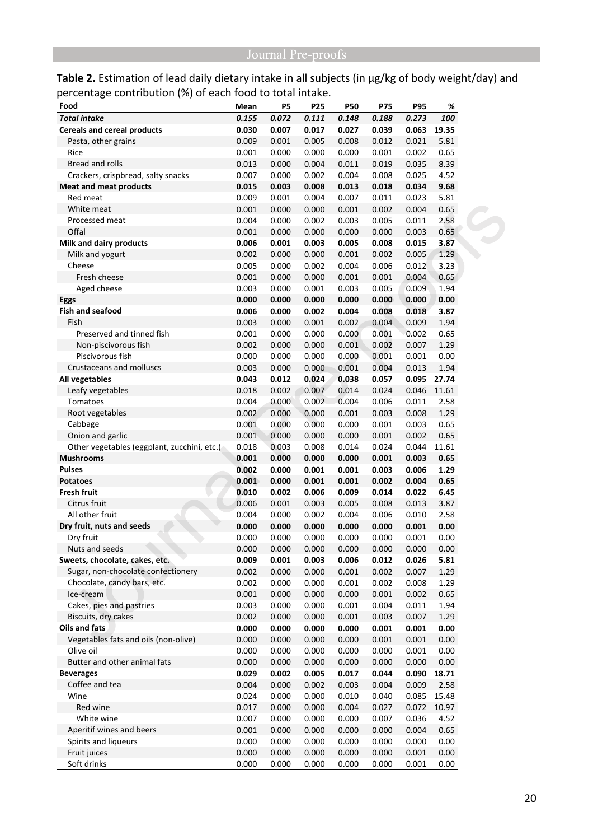Table 2. Estimation of lead daily dietary intake in all subjects (in µg/kg of body weight/day) and percentage contribution (%) of each food to total intake.

| Food                                        | Mean  | P5    | P <sub>25</sub> | <b>P50</b> | P75   | <b>P95</b> | %     |
|---------------------------------------------|-------|-------|-----------------|------------|-------|------------|-------|
| <b>Total intake</b>                         | 0.155 | 0.072 | 0.111           | 0.148      | 0.188 | 0.273      | 100   |
| <b>Cereals and cereal products</b>          | 0.030 | 0.007 | 0.017           | 0.027      | 0.039 | 0.063      | 19.35 |
| Pasta, other grains                         | 0.009 | 0.001 | 0.005           | 0.008      | 0.012 | 0.021      | 5.81  |
| Rice                                        | 0.001 | 0.000 | 0.000           | 0.000      | 0.001 | 0.002      | 0.65  |
| <b>Bread and rolls</b>                      | 0.013 | 0.000 | 0.004           | 0.011      | 0.019 | 0.035      | 8.39  |
| Crackers, crispbread, salty snacks          | 0.007 | 0.000 | 0.002           | 0.004      | 0.008 | 0.025      | 4.52  |
| <b>Meat and meat products</b>               | 0.015 | 0.003 | 0.008           | 0.013      | 0.018 | 0.034      | 9.68  |
| Red meat                                    | 0.009 | 0.001 | 0.004           | 0.007      | 0.011 | 0.023      | 5.81  |
| White meat                                  | 0.001 | 0.000 | 0.000           | 0.001      | 0.002 | 0.004      | 0.65  |
| Processed meat                              | 0.004 | 0.000 | 0.002           | 0.003      | 0.005 | 0.011      | 2.58  |
| Offal                                       | 0.001 | 0.000 | 0.000           | 0.000      | 0.000 | 0.003      | 0.65  |
| Milk and dairy products                     | 0.006 | 0.001 | 0.003           | 0.005      | 0.008 | 0.015      | 3.87  |
| Milk and yogurt                             | 0.002 | 0.000 | 0.000           | 0.001      | 0.002 | 0.005      | 1.29  |
| Cheese                                      | 0.005 | 0.000 | 0.002           | 0.004      | 0.006 | 0.012      | 3.23  |
| Fresh cheese                                | 0.001 | 0.000 | 0.000           | 0.001      | 0.001 | 0.004      | 0.65  |
| Aged cheese                                 | 0.003 | 0.000 | 0.001           | 0.003      | 0.005 | 0.009      | 1.94  |
| <b>Eggs</b>                                 | 0.000 | 0.000 | 0.000           | 0.000      | 0.000 | 0.000      | 0.00  |
| <b>Fish and seafood</b>                     | 0.006 | 0.000 | 0.002           | 0.004      | 0.008 | 0.018      | 3.87  |
| Fish                                        | 0.003 | 0.000 | 0.001           | 0.002      | 0.004 | 0.009      | 1.94  |
| Preserved and tinned fish                   | 0.001 | 0.000 | 0.000           | 0.000      | 0.001 | 0.002      | 0.65  |
| Non-piscivorous fish                        | 0.002 | 0.000 | 0.000           | 0.001      | 0.002 | 0.007      | 1.29  |
| Piscivorous fish                            | 0.000 | 0.000 | 0.000           | 0.000      | 0.001 | 0.001      | 0.00  |
| Crustaceans and molluscs                    | 0.003 | 0.000 | 0.000           | 0.001      | 0.004 | 0.013      | 1.94  |
| All vegetables                              | 0.043 | 0.012 | 0.024           | 0.038      | 0.057 | 0.095      | 27.74 |
| Leafy vegetables                            | 0.018 | 0.002 | 0.007           | 0.014      | 0.024 | 0.046      | 11.61 |
| Tomatoes                                    | 0.004 | 0.000 | 0.002           | 0.004      | 0.006 | 0.011      | 2.58  |
| Root vegetables                             | 0.002 | 0.000 | 0.000           | 0.001      | 0.003 | 0.008      | 1.29  |
| Cabbage                                     | 0.001 | 0.000 | 0.000           | 0.000      | 0.001 | 0.003      | 0.65  |
| Onion and garlic                            | 0.001 | 0.000 | 0.000           | 0.000      | 0.001 | 0.002      | 0.65  |
| Other vegetables (eggplant, zucchini, etc.) | 0.018 | 0.003 | 0.008           | 0.014      | 0.024 | 0.044      | 11.61 |
| <b>Mushrooms</b>                            | 0.001 | 0.000 | 0.000           | 0.000      | 0.001 | 0.003      | 0.65  |
| <b>Pulses</b>                               | 0.002 | 0.000 | 0.001           | 0.001      | 0.003 | 0.006      | 1.29  |
| <b>Potatoes</b>                             | 0.001 | 0.000 | 0.001           | 0.001      | 0.002 | 0.004      | 0.65  |
| <b>Fresh fruit</b>                          | 0.010 | 0.002 | 0.006           | 0.009      | 0.014 | 0.022      | 6.45  |
| Citrus fruit                                | 0.006 | 0.001 | 0.003           | 0.005      | 0.008 | 0.013      | 3.87  |
| All other fruit                             | 0.004 | 0.000 | 0.002           | 0.004      | 0.006 | 0.010      | 2.58  |
| Dry fruit, nuts and seeds                   | 0.000 | 0.000 | 0.000           | 0.000      | 0.000 | 0.001      | 0.00  |
| Dry fruit                                   | 0.000 | 0.000 | 0.000           | 0.000      | 0.000 | 0.001      | 0.00  |
| Nuts and seeds                              | 0.000 | 0.000 | 0.000           | 0.000      | 0.000 | 0.000      | 0.00  |
| Sweets, chocolate, cakes, etc.              | 0.009 | 0.001 | 0.003           | 0.006      | 0.012 | 0.026      | 5.81  |
| Sugar, non-chocolate confectionery          | 0.002 | 0.000 | 0.000           | 0.001      | 0.002 | 0.007      | 1.29  |
| Chocolate, candy bars, etc.                 | 0.002 | 0.000 | 0.000           | 0.001      | 0.002 | 0.008      | 1.29  |
| Ice-cream                                   | 0.001 | 0.000 | 0.000           | 0.000      | 0.001 | 0.002      | 0.65  |
| Cakes, pies and pastries                    | 0.003 | 0.000 | 0.000           | 0.001      | 0.004 | 0.011      | 1.94  |
| Biscuits, dry cakes                         | 0.002 | 0.000 | 0.000           | 0.001      | 0.003 | 0.007      | 1.29  |
| Oils and fats                               | 0.000 | 0.000 | 0.000           | 0.000      | 0.001 | 0.001      | 0.00  |
| Vegetables fats and oils (non-olive)        | 0.000 | 0.000 | 0.000           | 0.000      | 0.001 | 0.001      | 0.00  |
| Olive oil                                   | 0.000 | 0.000 |                 |            |       |            | 0.00  |
| Butter and other animal fats                |       |       | 0.000           | 0.000      | 0.000 | 0.001      |       |
|                                             | 0.000 | 0.000 | 0.000           | 0.000      | 0.000 | 0.000      | 0.00  |
| <b>Beverages</b>                            | 0.029 | 0.002 | 0.005           | 0.017      | 0.044 | 0.090      | 18.71 |
| Coffee and tea                              | 0.004 | 0.000 | 0.002           | 0.003      | 0.004 | 0.009      | 2.58  |
| Wine                                        | 0.024 | 0.000 | 0.000           | 0.010      | 0.040 | 0.085      | 15.48 |
| Red wine                                    | 0.017 | 0.000 | 0.000           | 0.004      | 0.027 | 0.072      | 10.97 |
| White wine                                  | 0.007 | 0.000 | 0.000           | 0.000      | 0.007 | 0.036      | 4.52  |
| Aperitif wines and beers                    | 0.001 | 0.000 | 0.000           | 0.000      | 0.000 | 0.004      | 0.65  |
| Spirits and liqueurs                        | 0.000 | 0.000 | 0.000           | 0.000      | 0.000 | 0.000      | 0.00  |
| Fruit juices                                | 0.000 | 0.000 | 0.000           | 0.000      | 0.000 | 0.001      | 0.00  |
| Soft drinks                                 | 0.000 | 0.000 | 0.000           | 0.000      | 0.000 | 0.001      | 0.00  |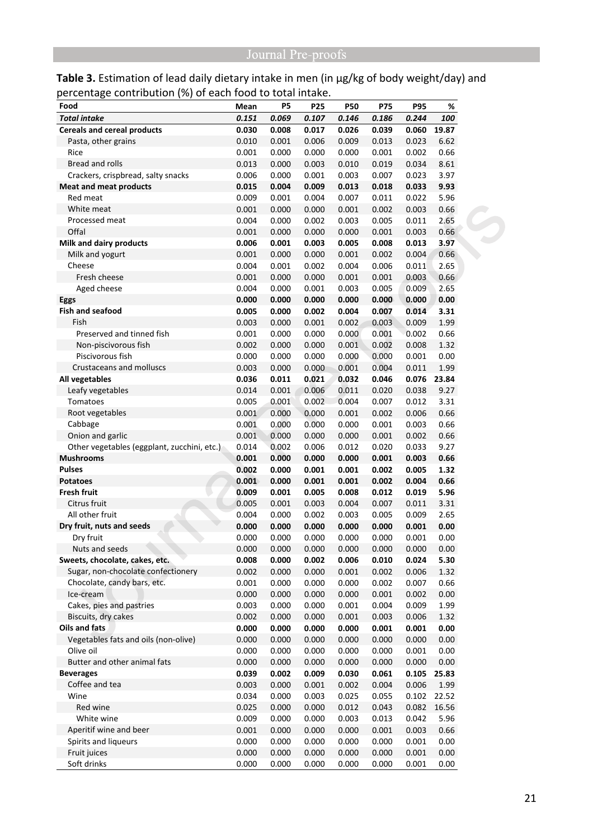Table 3. Estimation of lead daily dietary intake in men (in µg/kg of body weight/day) and percentage contribution (%) of each food to total intake.

| Food                                        | Mean  | P5    | P25   | <b>P50</b> | P75   | <b>P95</b> | %     |
|---------------------------------------------|-------|-------|-------|------------|-------|------------|-------|
| <b>Total intake</b>                         | 0.151 | 0.069 | 0.107 | 0.146      | 0.186 | 0.244      | 100   |
| <b>Cereals and cereal products</b>          | 0.030 | 0.008 | 0.017 | 0.026      | 0.039 | 0.060      | 19.87 |
| Pasta, other grains                         | 0.010 | 0.001 | 0.006 | 0.009      | 0.013 | 0.023      | 6.62  |
| Rice                                        | 0.001 | 0.000 | 0.000 | 0.000      | 0.001 | 0.002      | 0.66  |
| <b>Bread and rolls</b>                      | 0.013 | 0.000 | 0.003 | 0.010      | 0.019 | 0.034      | 8.61  |
| Crackers, crispbread, salty snacks          | 0.006 | 0.000 | 0.001 | 0.003      | 0.007 | 0.023      | 3.97  |
| <b>Meat and meat products</b>               | 0.015 | 0.004 | 0.009 | 0.013      | 0.018 | 0.033      | 9.93  |
| Red meat                                    | 0.009 | 0.001 | 0.004 | 0.007      | 0.011 | 0.022      | 5.96  |
| White meat                                  | 0.001 | 0.000 | 0.000 | 0.001      | 0.002 | 0.003      | 0.66  |
| Processed meat                              | 0.004 | 0.000 | 0.002 | 0.003      | 0.005 | 0.011      | 2.65  |
| Offal                                       | 0.001 | 0.000 | 0.000 | 0.000      | 0.001 | 0.003      | 0.66  |
| Milk and dairy products                     | 0.006 | 0.001 | 0.003 | 0.005      | 0.008 | 0.013      | 3.97  |
| Milk and yogurt                             | 0.001 | 0.000 | 0.000 | 0.001      | 0.002 | 0.004      | 0.66  |
| Cheese                                      | 0.004 | 0.001 | 0.002 | 0.004      | 0.006 | 0.011      | 2.65  |
| Fresh cheese                                | 0.001 | 0.000 | 0.000 | 0.001      | 0.001 | 0.003      | 0.66  |
| Aged cheese                                 | 0.004 | 0.000 | 0.001 | 0.003      | 0.005 | 0.009      | 2.65  |
| Eggs                                        | 0.000 | 0.000 | 0.000 | 0.000      | 0.000 | 0.000      | 0.00  |
| <b>Fish and seafood</b>                     | 0.005 | 0.000 | 0.002 | 0.004      | 0.007 | 0.014      | 3.31  |
| Fish                                        | 0.003 | 0.000 | 0.001 | 0.002      | 0.003 | 0.009      | 1.99  |
| Preserved and tinned fish                   | 0.001 | 0.000 | 0.000 | 0.000      | 0.001 | 0.002      | 0.66  |
| Non-piscivorous fish                        | 0.002 | 0.000 | 0.000 | 0.001      | 0.002 | 0.008      | 1.32  |
| Piscivorous fish                            | 0.000 | 0.000 | 0.000 | 0.000      | 0.000 | 0.001      | 0.00  |
| <b>Crustaceans and molluscs</b>             | 0.003 | 0.000 | 0.000 | 0.001      | 0.004 | 0.011      | 1.99  |
| All vegetables                              | 0.036 | 0.011 | 0.021 | 0.032      | 0.046 | 0.076      | 23.84 |
| Leafy vegetables                            | 0.014 | 0.001 | 0.006 | 0.011      | 0.020 | 0.038      | 9.27  |
| Tomatoes                                    | 0.005 | 0.001 | 0.002 | 0.004      | 0.007 | 0.012      | 3.31  |
| Root vegetables                             | 0.001 | 0.000 | 0.000 | 0.001      | 0.002 | 0.006      | 0.66  |
| Cabbage                                     | 0.001 | 0.000 | 0.000 | 0.000      | 0.001 | 0.003      | 0.66  |
| Onion and garlic                            | 0.001 | 0.000 | 0.000 | 0.000      | 0.001 | 0.002      | 0.66  |
| Other vegetables (eggplant, zucchini, etc.) | 0.014 | 0.002 | 0.006 | 0.012      | 0.020 | 0.033      | 9.27  |
| <b>Mushrooms</b>                            | 0.001 | 0.000 | 0.000 | 0.000      | 0.001 | 0.003      | 0.66  |
| <b>Pulses</b>                               | 0.002 | 0.000 | 0.001 | 0.001      | 0.002 | 0.005      | 1.32  |
| <b>Potatoes</b>                             | 0.001 | 0.000 | 0.001 | 0.001      | 0.002 | 0.004      | 0.66  |
| <b>Fresh fruit</b>                          | 0.009 | 0.001 | 0.005 | 0.008      | 0.012 | 0.019      | 5.96  |
| Citrus fruit                                | 0.005 | 0.001 | 0.003 | 0.004      | 0.007 | 0.011      | 3.31  |
| All other fruit                             | 0.004 | 0.000 | 0.002 | 0.003      | 0.005 | 0.009      | 2.65  |
| Dry fruit, nuts and seeds                   | 0.000 | 0.000 | 0.000 | 0.000      | 0.000 | 0.001      | 0.00  |
| Dry fruit                                   | 0.000 | 0.000 | 0.000 | 0.000      | 0.000 | 0.001      | 0.00  |
| Nuts and seeds                              | 0.000 | 0.000 | 0.000 | 0.000      | 0.000 | 0.000      | 0.00  |
| Sweets, chocolate, cakes, etc.              | 0.008 | 0.000 | 0.002 | 0.006      | 0.010 | 0.024      | 5.30  |
| Sugar, non-chocolate confectionery          | 0.002 | 0.000 | 0.000 | 0.001      | 0.002 | 0.006      | 1.32  |
| Chocolate, candy bars, etc.                 | 0.001 | 0.000 | 0.000 | 0.000      | 0.002 | 0.007      | 0.66  |
| Ice-cream                                   | 0.000 | 0.000 | 0.000 | 0.000      | 0.001 | 0.002      | 0.00  |
| Cakes, pies and pastries                    | 0.003 | 0.000 | 0.000 | 0.001      | 0.004 | 0.009      | 1.99  |
| Biscuits, dry cakes                         | 0.002 | 0.000 | 0.000 | 0.001      | 0.003 | 0.006      | 1.32  |
| Oils and fats                               | 0.000 | 0.000 | 0.000 | 0.000      | 0.001 | 0.001      | 0.00  |
| Vegetables fats and oils (non-olive)        | 0.000 | 0.000 | 0.000 | 0.000      | 0.000 | 0.000      | 0.00  |
| Olive oil                                   | 0.000 | 0.000 | 0.000 | 0.000      | 0.000 | 0.001      | 0.00  |
| Butter and other animal fats                | 0.000 | 0.000 | 0.000 | 0.000      | 0.000 | 0.000      | 0.00  |
| <b>Beverages</b>                            | 0.039 | 0.002 | 0.009 | 0.030      | 0.061 | 0.105      | 25.83 |
| Coffee and tea                              | 0.003 | 0.000 | 0.001 | 0.002      | 0.004 | 0.006      | 1.99  |
| Wine                                        | 0.034 | 0.000 | 0.003 | 0.025      | 0.055 | 0.102      | 22.52 |
| Red wine                                    |       |       |       |            |       |            |       |
|                                             | 0.025 | 0.000 | 0.000 | 0.012      | 0.043 | 0.082      | 16.56 |
| White wine                                  | 0.009 | 0.000 | 0.000 | 0.003      | 0.013 | 0.042      | 5.96  |
| Aperitif wine and beer                      | 0.001 | 0.000 | 0.000 | 0.000      | 0.001 | 0.003      | 0.66  |
| Spirits and liqueurs                        | 0.000 | 0.000 | 0.000 | 0.000      | 0.000 | 0.001      | 0.00  |
| Fruit juices                                | 0.000 | 0.000 | 0.000 | 0.000      | 0.000 | 0.001      | 0.00  |
| Soft drinks                                 | 0.000 | 0.000 | 0.000 | 0.000      | 0.000 | 0.001      | 0.00  |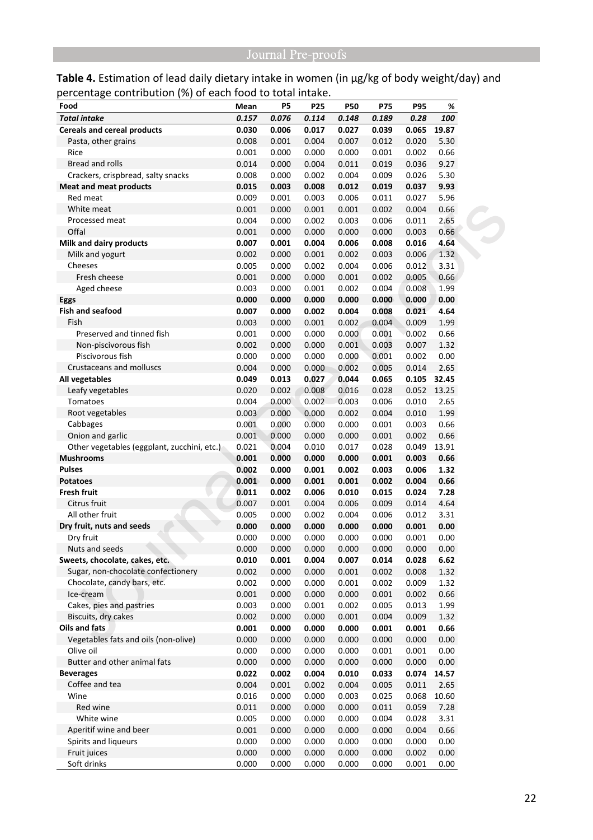Table 4. Estimation of lead daily dietary intake in women (in µg/kg of body weight/day) and percentage contribution (%) of each food to total intake.

| Food                                        | Mean  | P5    | <b>P25</b> | <b>P50</b> | P75   | <b>P95</b> | %        |
|---------------------------------------------|-------|-------|------------|------------|-------|------------|----------|
| <b>Total intake</b>                         | 0.157 | 0.076 | 0.114      | 0.148      | 0.189 | 0.28       | 100      |
| <b>Cereals and cereal products</b>          | 0.030 | 0.006 | 0.017      | 0.027      | 0.039 | 0.065      | 19.87    |
| Pasta, other grains                         | 0.008 | 0.001 | 0.004      | 0.007      | 0.012 | 0.020      | 5.30     |
| Rice                                        | 0.001 | 0.000 | 0.000      | 0.000      | 0.001 | 0.002      | 0.66     |
| Bread and rolls                             | 0.014 | 0.000 | 0.004      | 0.011      | 0.019 | 0.036      | 9.27     |
| Crackers, crispbread, salty snacks          | 0.008 | 0.000 | 0.002      | 0.004      | 0.009 | 0.026      | 5.30     |
| <b>Meat and meat products</b>               | 0.015 | 0.003 | 0.008      | 0.012      | 0.019 | 0.037      | 9.93     |
| Red meat                                    | 0.009 | 0.001 | 0.003      | 0.006      | 0.011 | 0.027      | 5.96     |
| White meat                                  | 0.001 | 0.000 | 0.001      | 0.001      | 0.002 | 0.004      | 0.66     |
| Processed meat                              | 0.004 | 0.000 | 0.002      | 0.003      | 0.006 | 0.011      | 2.65     |
| Offal                                       | 0.001 | 0.000 | 0.000      | 0.000      | 0.000 | 0.003      | 0.66     |
| Milk and dairy products                     | 0.007 | 0.001 | 0.004      | 0.006      | 0.008 | 0.016      | 4.64     |
| Milk and yogurt                             | 0.002 | 0.000 | 0.001      | 0.002      | 0.003 | 0.006      | 1.32     |
| Cheeses                                     | 0.005 | 0.000 | 0.002      | 0.004      | 0.006 | 0.012      | 3.31     |
| Fresh cheese                                | 0.001 | 0.000 | 0.000      | 0.001      | 0.002 | 0.005      | 0.66     |
| Aged cheese                                 | 0.003 | 0.000 | 0.001      | 0.002      | 0.004 | 0.008      | 1.99     |
| Eggs                                        | 0.000 | 0.000 | 0.000      | 0.000      | 0.000 | 0.000      | 0.00     |
| <b>Fish and seafood</b>                     | 0.007 | 0.000 | 0.002      | 0.004      | 0.008 | 0.021      | 4.64     |
| Fish                                        | 0.003 | 0.000 | 0.001      | 0.002      | 0.004 | 0.009      | 1.99     |
| Preserved and tinned fish                   | 0.001 | 0.000 | 0.000      | 0.000      | 0.001 | 0.002      | 0.66     |
| Non-piscivorous fish                        | 0.002 | 0.000 | 0.000      | 0.001      | 0.003 | 0.007      | 1.32     |
| Piscivorous fish                            | 0.000 | 0.000 | 0.000      | 0.000      | 0.001 | 0.002      | 0.00     |
| Crustaceans and molluscs                    | 0.004 | 0.000 | 0.000      | 0.002      | 0.005 | 0.014      | 2.65     |
| All vegetables                              | 0.049 | 0.013 | 0.027      | 0.044      | 0.065 | 0.105      | 32.45    |
| Leafy vegetables                            | 0.020 | 0.002 | 0.008      | 0.016      | 0.028 | 0.052      | 13.25    |
| Tomatoes                                    | 0.004 | 0.000 | 0.002      | 0.003      | 0.006 | 0.010      | 2.65     |
| Root vegetables                             | 0.003 | 0.000 | 0.000      | 0.002      | 0.004 | 0.010      | 1.99     |
| Cabbages                                    | 0.001 | 0.000 | 0.000      | 0.000      | 0.001 | 0.003      | 0.66     |
| Onion and garlic                            | 0.001 | 0.000 | 0.000      | 0.000      | 0.001 | 0.002      | 0.66     |
| Other vegetables (eggplant, zucchini, etc.) | 0.021 | 0.004 | 0.010      | 0.017      | 0.028 | 0.049      | 13.91    |
| <b>Mushrooms</b>                            | 0.001 | 0.000 | 0.000      | 0.000      | 0.001 | 0.003      | 0.66     |
| <b>Pulses</b>                               | 0.002 | 0.000 | 0.001      | 0.002      | 0.003 | 0.006      | 1.32     |
| <b>Potatoes</b>                             | 0.001 | 0.000 | 0.001      | 0.001      | 0.002 | 0.004      | 0.66     |
| <b>Fresh fruit</b>                          | 0.011 | 0.002 | 0.006      | 0.010      | 0.015 | 0.024      | 7.28     |
| Citrus fruit                                | 0.007 | 0.001 | 0.004      | 0.006      | 0.009 | 0.014      | 4.64     |
| All other fruit                             | 0.005 | 0.000 | 0.002      | 0.004      | 0.006 | 0.012      | 3.31     |
| Dry fruit, nuts and seeds                   | 0.000 | 0.000 | 0.000      | 0.000      | 0.000 | 0.001      | 0.00     |
| Dry fruit                                   | 0.000 | 0.000 | 0.000      | 0.000      | 0.000 | 0.001      | 0.00     |
| Nuts and seeds                              | 0.000 | 0.000 | 0.000      | 0.000      | 0.000 | 0.000      | $0.00\,$ |
| Sweets, chocolate, cakes, etc.              | 0.010 | 0.001 | 0.004      | 0.007      | 0.014 | 0.028      | 6.62     |
| Sugar, non-chocolate confectionery          | 0.002 | 0.000 | 0.000      | 0.001      | 0.002 | 0.008      | 1.32     |
| Chocolate, candy bars, etc.                 | 0.002 | 0.000 | 0.000      | 0.001      | 0.002 | 0.009      | 1.32     |
| Ice-cream                                   | 0.001 | 0.000 | 0.000      | 0.000      | 0.001 | 0.002      | 0.66     |
| Cakes, pies and pastries                    | 0.003 | 0.000 | 0.001      | 0.002      | 0.005 | 0.013      | 1.99     |
| Biscuits, dry cakes                         | 0.002 | 0.000 | 0.000      | 0.001      | 0.004 | 0.009      | 1.32     |
| Oils and fats                               | 0.001 | 0.000 | 0.000      | 0.000      | 0.001 | 0.001      | 0.66     |
| Vegetables fats and oils (non-olive)        | 0.000 | 0.000 | 0.000      | 0.000      | 0.000 | 0.000      | 0.00     |
| Olive oil                                   | 0.000 | 0.000 | 0.000      | 0.000      | 0.001 | 0.001      | 0.00     |
| Butter and other animal fats                | 0.000 | 0.000 | 0.000      | 0.000      | 0.000 | 0.000      | 0.00     |
| <b>Beverages</b>                            | 0.022 | 0.002 | 0.004      | 0.010      | 0.033 | 0.074      | 14.57    |
| Coffee and tea                              | 0.004 | 0.001 | 0.002      | 0.004      | 0.005 | 0.011      | 2.65     |
| Wine                                        | 0.016 | 0.000 | 0.000      | 0.003      | 0.025 | 0.068      | 10.60    |
| Red wine                                    | 0.011 | 0.000 | 0.000      | 0.000      | 0.011 | 0.059      | 7.28     |
| White wine                                  | 0.005 | 0.000 | 0.000      | 0.000      | 0.004 | 0.028      | 3.31     |
| Aperitif wine and beer                      | 0.001 | 0.000 | 0.000      | 0.000      | 0.000 | 0.004      | 0.66     |
| Spirits and liqueurs                        | 0.000 | 0.000 | 0.000      | 0.000      | 0.000 | 0.000      | 0.00     |
| Fruit juices                                | 0.000 | 0.000 | 0.000      | 0.000      | 0.000 | 0.002      | 0.00     |
|                                             |       |       |            |            |       |            |          |
| Soft drinks                                 | 0.000 | 0.000 | 0.000      | 0.000      | 0.000 | 0.001      | 0.00     |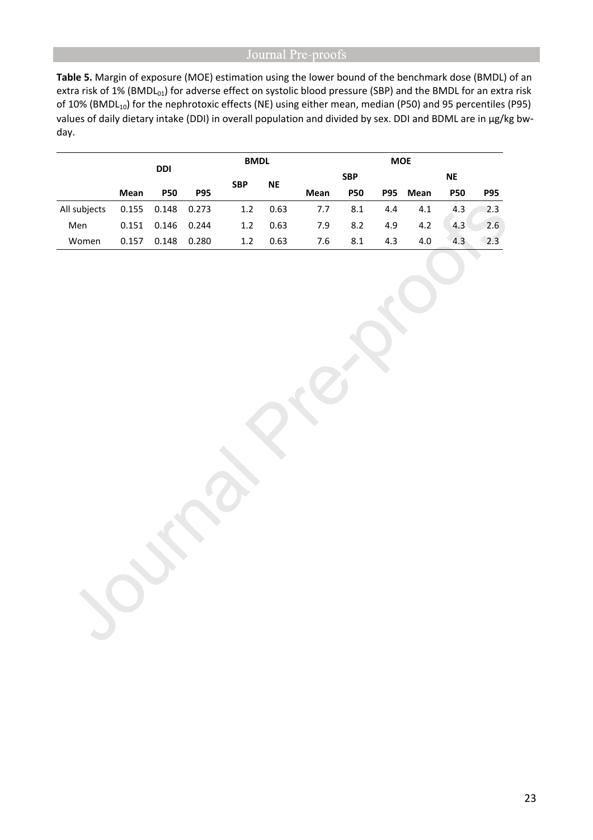**Table 5.** Margin of exposure (MOE) estimation using the lower bound of the benchmark dose (BMDL) of an extra risk of 1% (BMDL<sub>01</sub>) for adverse effect on systolic blood pressure (SBP) and the BMDL for an extra risk of 10% (BMDL<sub>10</sub>) for the nephrotoxic effects (NE) using either mean, median (P50) and 95 percentiles (P95) values of daily dietary intake (DDI) in overall population and divided by sex. DDI and BDML are in µg/kg bwday.

|              |             |            |            | <b>BMDL</b>      |           | <b>MOE</b> |            |            |      |            |            |
|--------------|-------------|------------|------------|------------------|-----------|------------|------------|------------|------|------------|------------|
|              | <b>DDI</b>  |            | <b>SBP</b> |                  |           | <b>SBP</b> |            | <b>NE</b>  |      |            |            |
|              | <b>Mean</b> | <b>P50</b> | <b>P95</b> |                  | <b>NE</b> | Mean       | <b>P50</b> | <b>P95</b> | Mean | <b>P50</b> | <b>P95</b> |
| All subjects | 0.155       | 0.148      | 0.273      | 1.2              | 0.63      | 7.7        | 8.1        | 4.4        | 4.1  | 4.3        | 2.3        |
| Men          | 0.151       | 0.146      | 0.244      | 1.2 <sub>2</sub> | 0.63      | 7.9        | 8.2        | 4.9        | 4.2  | 4.3        | 2.6        |
| Women        | 0.157       | 0.148      | 0.280      | 1.2              | 0.63      | 7.6        | 8.1        | 4.3        | 4.0  | 4.3        | 2.3        |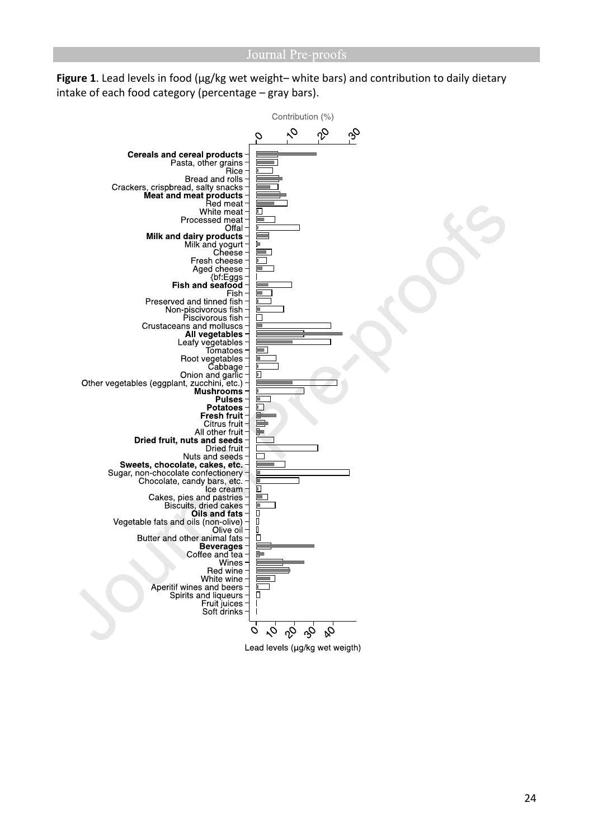Figure 1. Lead levels in food (µg/kg wet weight– white bars) and contribution to daily dietary intake of each food category (percentage – gray bars).

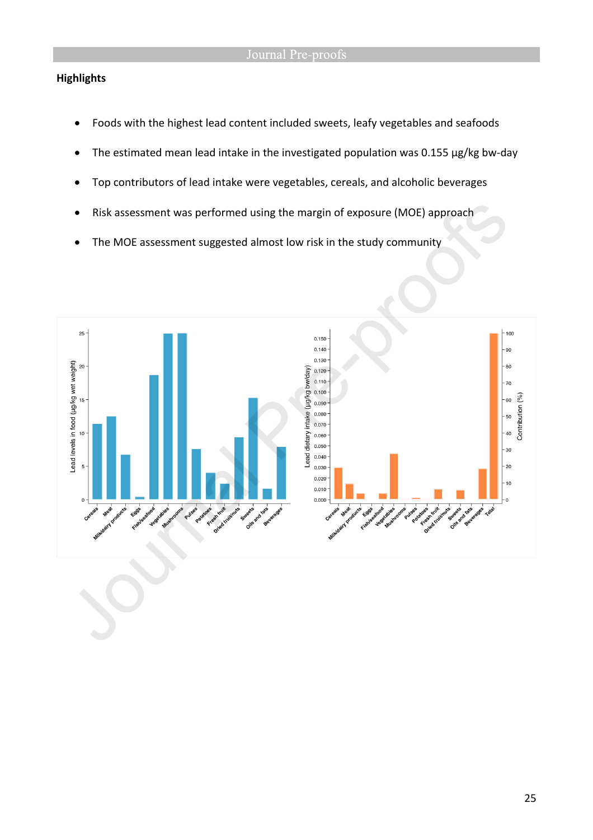## **Highlights**

- Foods with the highest lead content included sweets, leafy vegetables and seafoods
- The estimated mean lead intake in the investigated population was 0.155 µg/kg bw-day
- Top contributors of lead intake were vegetables, cereals, and alcoholic beverages
- Risk assessment was performed using the margin of exposure (MOE) approach
- The MOE assessment suggested almost low risk in the study community